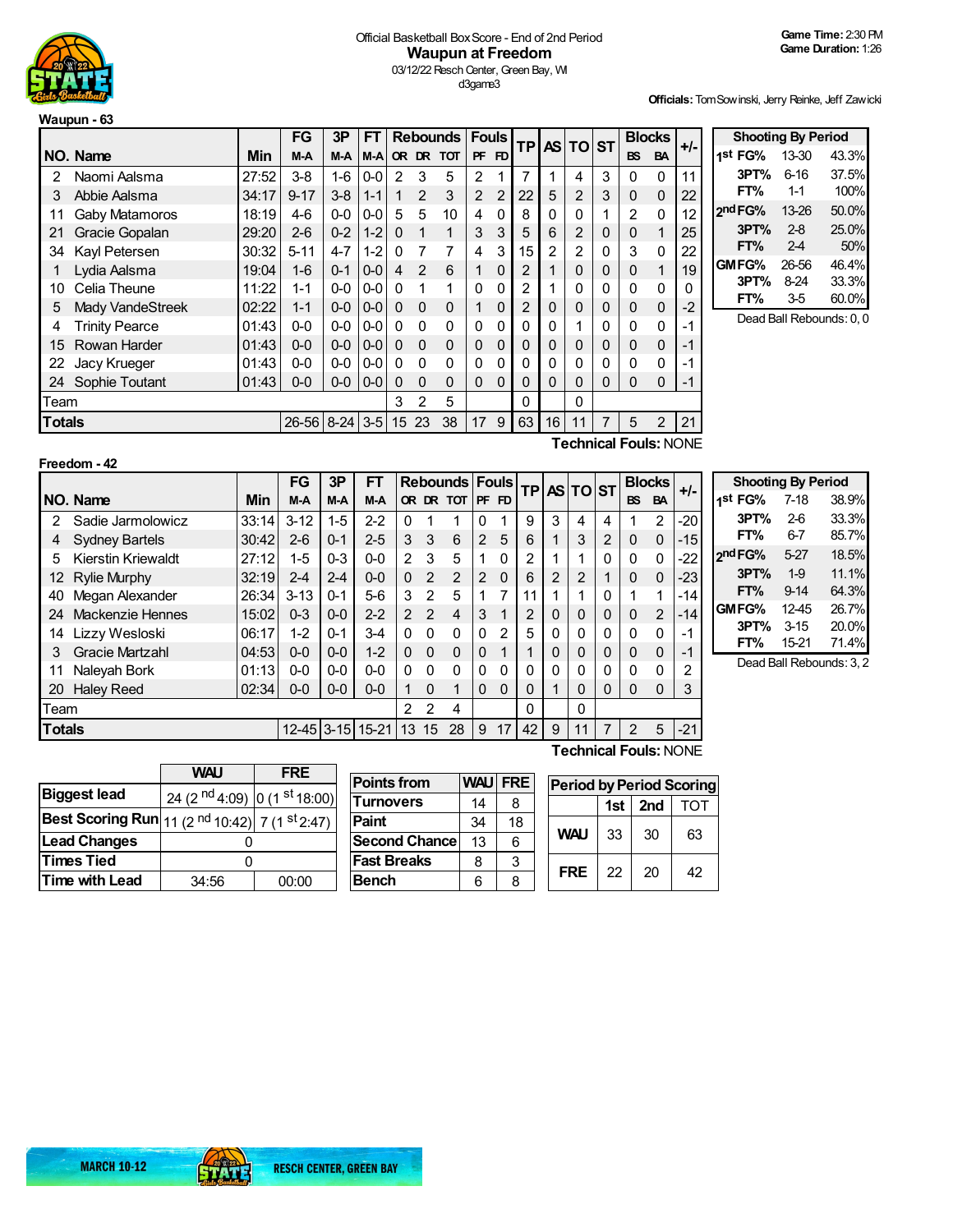

## Official Basketball BoxScore - End of 2nd Period **Waupun at Freedom** 03/12/22 Resch Center, Green Bay, WI d3game3

**Officials:**TomSowinski, Jerry Reinke, Jeff Zawicki

|               | Waupun - 63           |       |          |          |         |              |               |                 |                |                |                |    |                |              |                |                |       |
|---------------|-----------------------|-------|----------|----------|---------|--------------|---------------|-----------------|----------------|----------------|----------------|----|----------------|--------------|----------------|----------------|-------|
|               |                       |       | FG       | 3P       | FT.     |              |               | <b>Rebounds</b> | <b>Fouls</b>   |                | <b>TP</b>      |    | AS TO ST       |              |                | <b>Blocks</b>  | $+/-$ |
|               | NO. Name              | Min   | M-A      | M-A      | $M-A$   |              |               | OR DR TOT       | <b>PF</b>      | FD             |                |    |                |              | <b>BS</b>      | <b>BA</b>      |       |
| 2             | Naomi Aalsma          | 27:52 | $3-8$    | $1 - 6$  | $0-0$   | 2            | 3             | 5               | 2              |                | 7              | 1  | 4              | 3            | 0              | 0              | 11    |
| 3             | Abbie Aalsma          | 34:17 | $9 - 17$ | $3 - 8$  | $1 - 1$ |              | $\mathcal{P}$ | 3               | $\overline{2}$ | $\overline{2}$ | 22             | 5  | 2              | 3            | 0              | 0              | 22    |
| 11            | <b>Gaby Matamoros</b> | 18:19 | 4-6      | $0 - 0$  | $0 - 0$ | 5            | 5             | 10              | 4              | $\Omega$       | 8              | 0  | 0              | 1            | $\overline{2}$ | 0              | 12    |
| 21            | Gracie Gopalan        | 29:20 | $2 - 6$  | $0 - 2$  | $1 - 2$ | $\Omega$     | 1             | 1               | 3              | 3              | 5              | 6  | $\overline{2}$ | $\mathbf 0$  | 0              | 1              | 25    |
| 34            | Kayl Petersen         | 30:32 | $5 - 11$ | $4 - 7$  | $1 - 2$ | 0            | 7             | 7               | 4              | 3              | 15             | 2  | 2              | $\mathbf{0}$ | 3              | $\mathbf 0$    | 22    |
|               | Lydia Aalsma          | 19:04 | $1 - 6$  | $0 - 1$  | $0 - 0$ | 4            | $\mathcal{P}$ | 6               |                | 0              | $\overline{2}$ |    | 0              | 0            | 0              | 1              | 19    |
| 10            | Celia Theune          | 11:22 | $1 - 1$  | $0 - 0$  | $0-0$   | 0            | 1             | 1               | 0              | $\mathbf{0}$   | 2              |    | 0              | 0            | 0              | 0              | 0     |
| 5             | Mady VandeStreek      | 02:22 | $1 - 1$  | $0 - 0$  | $0-0$   | $\Omega$     | $\Omega$      | $\Omega$        | 1              | 0              | $\overline{2}$ | 0  | 0              | 0            | 0              | $\mathbf{0}$   | $-2$  |
| 4             | <b>Trinity Pearce</b> | 01:43 | $0-0$    | $0 - 0$  | $0-0$   | $\mathbf{0}$ | $\Omega$      | $\Omega$        | 0              | $\mathbf{0}$   | 0              | 0  |                | $\mathbf{0}$ | 0              | $\mathbf 0$    | -1    |
| 15            | Rowan Harder          | 01:43 | $0 - 0$  | $0 - 0$  | $0-0$   | $\Omega$     | $\Omega$      | $\Omega$        | $\Omega$       | 0              | 0              | 0  | 0              | 0            | 0              | 0              | $-1$  |
| 22            | Jacy Krueger          | 01:43 | $0-0$    | $0 - 0$  | 0-0     | 0            | $\Omega$      | $\Omega$        | 0              | $\mathbf{0}$   | 0              | 0  | 0              | 0            | 0              | $\mathbf{0}$   | -1    |
| 24            | Sophie Toutant        | 01:43 | $0-0$    | $0-0$    | $0-0$   | 0            | $\Omega$      | $\Omega$        | 0              | 0              | 0              | 0  | 0              | 0            | 0              | $\Omega$       | $-1$  |
| Team          |                       |       |          |          |         | 3            | 2             | 5               |                |                | 0              |    | 0              |              |                |                |       |
| <b>Totals</b> |                       |       | 26-56    | $8 - 24$ | $3-5$   | 15           | 23            | 38              | 17             | 9              | 63             | 16 | 11             | 7            | 5              | $\overline{2}$ | 21    |

**Shooting By Period 1 st FG%** 13-30 43.3% **3PT%** 6-16 37.5% **FT%** 1-1 100% **2 ndFG%** 13-26 50.0% **3PT%** 2-8 25.0% **FT%** 2-4 50% **GMFG%** 26-56 46.4%<br>**3PT%** 8-24 33.3% **3PT%** 8-24 **FT%** 3-5 60.0% Dead Ball Rebounds: 0, 0

| Freedom - 42 |  |
|--------------|--|
|--------------|--|

**Technical Fouls:**NONE

|               |                        |       | FG               | 3P      | FТ      |                |               | <b>Rebounds Fouls</b> |                |          | <b>TP</b>      |          | AS TO ST     |                |           | <b>Blocks</b>  | $+/-$ |  |
|---------------|------------------------|-------|------------------|---------|---------|----------------|---------------|-----------------------|----------------|----------|----------------|----------|--------------|----------------|-----------|----------------|-------|--|
|               | NO. Name               | Min   | M-A              | M-A     | M-A     |                |               | OR DR TOT             | I PF           | FD.      |                |          |              |                | <b>BS</b> | <b>BA</b>      |       |  |
| 2             | Sadie Jarmolowicz      | 33:14 | $3 - 12$         | $1 - 5$ | $2 - 2$ | $\Omega$       |               | 1                     |                | 1        | 9              | 3        | 4            | 4              |           | $\overline{2}$ | $-20$ |  |
|               | <b>Sydney Bartels</b>  | 30:42 | $2-6$            | $0 - 1$ | $2 - 5$ | 3              | 3             | 6                     | $\overline{2}$ | 5        | 6              |          | 3            | $\overline{2}$ | $\Omega$  | $\Omega$       | $-15$ |  |
| 5             | Kierstin Kriewaldt     | 27:12 | $1-5$            | $0 - 3$ | $0-0$   | 2              | 3             | 5                     | 1              | $\Omega$ | $\mathfrak{p}$ |          | и            | 0              | 0         | $\mathbf 0$    | $-22$ |  |
| 12            | <b>Rylie Murphy</b>    | 32:19 | $2 - 4$          | $2 - 4$ | $0 - 0$ | $\Omega$       | $\mathcal{P}$ | $\mathcal{P}$         | $\mathfrak{p}$ | 0        | 6              | 2        | 2            | 1              | $\Omega$  | $\Omega$       | $-23$ |  |
| 40            | Megan Alexander        | 26:34 | $3 - 13$         | $0 - 1$ | $5-6$   | 3              | $\mathcal{P}$ | 5                     | 1              | 7        | 11             |          |              | 0              |           | 1              | $-14$ |  |
| 24            | Mackenzie Hennes       | 15:02 | $0 - 3$          | $0 - 0$ | $2 - 2$ | $\mathfrak{D}$ | $\mathcal{P}$ | $\overline{4}$        | 3              | 1        | $\overline{2}$ | $\Omega$ | $\mathbf{0}$ | $\mathbf 0$    | $\Omega$  | $\overline{2}$ | $-14$ |  |
| 14            | Lizzy Wesloski         | 06:17 | $1 - 2$          | $0 - 1$ | $3-4$   | $\Omega$       | $\Omega$      | $\mathbf{0}$          | $\Omega$       | 2        | 5              |          | 0            | 0              | $\Omega$  | $\mathbf 0$    | $-1$  |  |
| 3             | <b>Gracie Martzahl</b> | 04:53 | $0 - 0$          | $0 - 0$ | $1 - 2$ | $\Omega$       | $\Omega$      | $\Omega$              | $\Omega$       | 1        |                |          | $\mathbf{0}$ | $\Omega$       | $\Omega$  | $\overline{0}$ | $-1$  |  |
| 11            | Naleyah Bork           | 01:13 | $0-0$            | $0 - 0$ | $0 - 0$ | $\Omega$       | $\Omega$      | $\Omega$              | 0              | 0        | 0              | $\Omega$ | 0            | 0              | $\Omega$  | $\Omega$       | 2     |  |
| 20            | <b>Haley Reed</b>      | 02:34 | $0 - 0$          | $0 - 0$ | $0 - 0$ |                | $\Omega$      | 1                     | $\Omega$       | $\Omega$ | 0              |          | $\Omega$     | 0              | $\Omega$  | $\overline{0}$ | 3     |  |
| Team          |                        |       |                  |         |         | $\mathcal{P}$  | $\mathcal{P}$ | 4                     |                |          | 0              |          | 0            |                |           |                |       |  |
| <b>Totals</b> |                        |       | 12-45 3-15 15-21 |         |         | 13             | 15            | 28                    | 9              | 17       | 42             | 9        | 11           |                | 2         | 5              | $-21$ |  |

| Γ.             | <b>Shooting By Period</b> |          |       |
|----------------|---------------------------|----------|-------|
|                | 1st FG%                   | $7 - 18$ | 38.9% |
| O              | 3PT%                      | $2-6$    | 33.3% |
| 5              | FT%                       | 6-7      | 85.7% |
| $\overline{2}$ | 2nd FG%                   | 5-27     | 18.5% |
| 3              | 3PT%                      | $1-9$    | 11.1% |
| 4              | FT%                       | $9 - 14$ | 64.3% |
| 4              | GMFG%                     | 12-45    | 26.7% |
| ۱              | 3PT%                      | $3 - 15$ | 20.0% |
|                | FT%                       | 15-21    | 71.4% |

Dead Ball Rebounds: 3, 2

|                                                                      | <b>WAU</b>                         | <b>FRE</b> |  |  |  |
|----------------------------------------------------------------------|------------------------------------|------------|--|--|--|
| <b>Biggest lead</b>                                                  | 24 (2 $^{nd}$ 4:09) 0 (1 st 18:00) |            |  |  |  |
| Best Scoring Run $ 11 (2 \text{ nd } 10:42)  7 (1 \text{ st } 2:47)$ |                                    |            |  |  |  |
| <b>Lead Changes</b>                                                  |                                    |            |  |  |  |
| <b>Times Tied</b>                                                    | O                                  |            |  |  |  |
| <b>Time with Lead</b>                                                | 34:56                              | 00:00      |  |  |  |
|                                                                      |                                    |            |  |  |  |

| <b>Points from</b>   |    | WAU FRE |
|----------------------|----|---------|
| <b>Turnovers</b>     | 14 | 8       |
| Paint                | 34 | 18      |
| <b>Second Chance</b> | 13 | 6       |
| <b> Fast Breaks</b>  | 8  | 3       |
| <b>Bench</b>         | հ  | ႙       |

**Technical Fouls:**NONE

| RE. | <b>Period by Period Scoring</b> |       |     |     |  |  |  |  |  |  |  |  |  |  |  |
|-----|---------------------------------|-------|-----|-----|--|--|--|--|--|--|--|--|--|--|--|
|     |                                 | 1st l | 2nd | TOT |  |  |  |  |  |  |  |  |  |  |  |
| 8   |                                 |       |     |     |  |  |  |  |  |  |  |  |  |  |  |
| ົ   | <b>WAU</b>                      | 33    | 30  | 63  |  |  |  |  |  |  |  |  |  |  |  |
| 3   | <b>FRE</b>                      | 22    | 20  |     |  |  |  |  |  |  |  |  |  |  |  |
| ጓ   |                                 |       |     | 42  |  |  |  |  |  |  |  |  |  |  |  |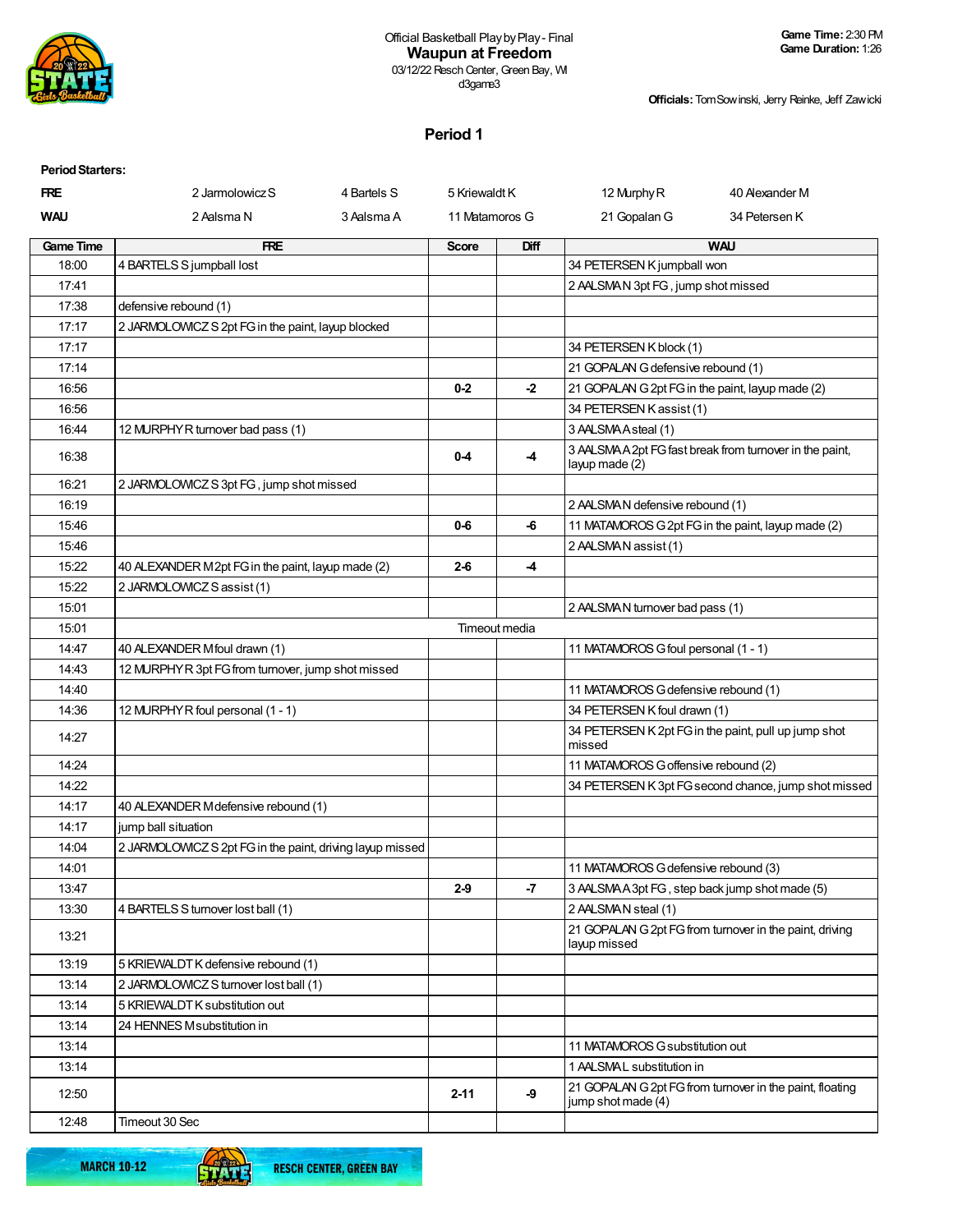

**Officials:**TomSowinski, Jerry Reinke, Jeff Zawicki

## **Period 1**

| <b>Period Starters:</b> |                                                           |             |                |               |                                                  |                                                          |
|-------------------------|-----------------------------------------------------------|-------------|----------------|---------------|--------------------------------------------------|----------------------------------------------------------|
| <b>FRE</b>              | 2 Jarmolowicz S                                           | 4 Bartels S | 5 Kriewaldt K  |               | 12 Murphy R                                      | 40 Alexander M                                           |
| <b>WAU</b>              | 2 Aalsma N                                                | 3 Aalsma A  | 11 Matamoros G |               | 21 Gopalan G                                     | 34 Petersen K                                            |
| <b>Game Time</b>        | <b>FRE</b>                                                |             | <b>Score</b>   | <b>Diff</b>   |                                                  | <b>WAU</b>                                               |
| 18:00                   | 4 BARTELS S jumpball lost                                 |             |                |               | 34 PETERSEN K jumpball won                       |                                                          |
| 17:41                   |                                                           |             |                |               | 2 AALSMAN 3pt FG, jump shot missed               |                                                          |
| 17:38                   | defensive rebound (1)                                     |             |                |               |                                                  |                                                          |
| 17:17                   | 2 JARMOLOWICZ S 2pt FG in the paint, layup blocked        |             |                |               |                                                  |                                                          |
| 17:17                   |                                                           |             |                |               | 34 PETERSEN K block (1)                          |                                                          |
| 17:14                   |                                                           |             |                |               | 21 GOPALAN G defensive rebound (1)               |                                                          |
| 16:56                   |                                                           |             | $0-2$          | $-2$          | 21 GOPALAN G 2pt FG in the paint, layup made (2) |                                                          |
| 16:56                   |                                                           |             |                |               | 34 PETERSEN K assist (1)                         |                                                          |
| 16:44                   | 12 MURPHY R turnover bad pass (1)                         |             |                |               | 3 AALSMAAsteal (1)                               |                                                          |
| 16:38                   |                                                           |             | $0 - 4$        | $-4$          | layup made (2)                                   | 3 AALSMA A 2pt FG fast break from turnover in the paint, |
| 16:21                   | 2 JARMOLOWICZ S 3pt FG, jump shot missed                  |             |                |               |                                                  |                                                          |
| 16:19                   |                                                           |             |                |               | 2 AALSMAN defensive rebound (1)                  |                                                          |
| 15:46                   |                                                           |             | $0 - 6$        | -6            |                                                  | 11 MATAMOROS G 2pt FG in the paint, layup made (2)       |
| 15:46                   |                                                           |             |                |               | 2 AALSMAN assist (1)                             |                                                          |
| 15:22                   | 40 ALEXANDER M2pt FG in the paint, layup made (2)         |             | $2 - 6$        | -4            |                                                  |                                                          |
| 15:22                   | 2 JARMOLOWICZ S assist (1)                                |             |                |               |                                                  |                                                          |
| 15:01                   |                                                           |             |                |               | 2 AALSMAN turnover bad pass (1)                  |                                                          |
| 15:01                   |                                                           |             |                | Timeout media |                                                  |                                                          |
| 14:47                   | 40 ALEXANDER Mfoul drawn (1)                              |             |                |               | 11 MATAMOROS G foul personal (1 - 1)             |                                                          |
| 14:43                   | 12 MURPHYR 3pt FG from turnover, jump shot missed         |             |                |               |                                                  |                                                          |
| 14:40                   |                                                           |             |                |               | 11 MATAMOROS G defensive rebound (1)             |                                                          |
| 14:36                   | 12 MURPHY R foul personal (1 - 1)                         |             |                |               | 34 PETERSEN K foul drawn (1)                     |                                                          |
| 14:27                   |                                                           |             |                |               | missed                                           | 34 PETERSEN K 2pt FG in the paint, pull up jump shot     |
| 14:24                   |                                                           |             |                |               | 11 MATAMOROS G offensive rebound (2)             |                                                          |
| 14:22                   |                                                           |             |                |               |                                                  | 34 PETERSEN K 3pt FG second chance, jump shot missed     |
| 14:17                   | 40 ALEXANDER Mdefensive rebound (1)                       |             |                |               |                                                  |                                                          |
| 14:17                   | jump ball situation                                       |             |                |               |                                                  |                                                          |
| 14:04                   | 2 JARMOLOWICZ S 2pt FG in the paint, driving layup missed |             |                |               |                                                  |                                                          |
| 14:01                   |                                                           |             |                |               | 11 MATAMOROS G defensive rebound (3)             |                                                          |
| 13:47                   |                                                           |             | $2-9$          | $-7$          | 3 AALSMAA3pt FG, step back jump shot made (5)    |                                                          |
| 13:30                   | 4 BARTELS S turnover lost ball (1)                        |             |                |               | 2 AALSMAN steal (1)                              |                                                          |
| 13:21                   |                                                           |             |                |               | layup missed                                     | 21 GOPALAN G 2pt FG from turnover in the paint, driving  |
| 13:19                   | 5 KRIEWALDT K defensive rebound (1)                       |             |                |               |                                                  |                                                          |
| 13:14                   | 2 JARMOLOWICZ S turnover lost ball (1)                    |             |                |               |                                                  |                                                          |
| 13:14                   | 5 KRIEWALDT K substitution out                            |             |                |               |                                                  |                                                          |
| 13:14                   | 24 HENNES Msubstitution in                                |             |                |               |                                                  |                                                          |
| 13:14                   |                                                           |             |                |               | 11 MATAMOROS G substitution out                  |                                                          |
| 13:14                   |                                                           |             |                |               | 1 AALSMAL substitution in                        |                                                          |
| 12:50                   |                                                           |             | $2 - 11$       | -9            | jump shot made (4)                               | 21 GOPALAN G 2pt FG from turnover in the paint, floating |
| 12:48                   | Timeout 30 Sec                                            |             |                |               |                                                  |                                                          |

**MARCH 10-12** 

61

Π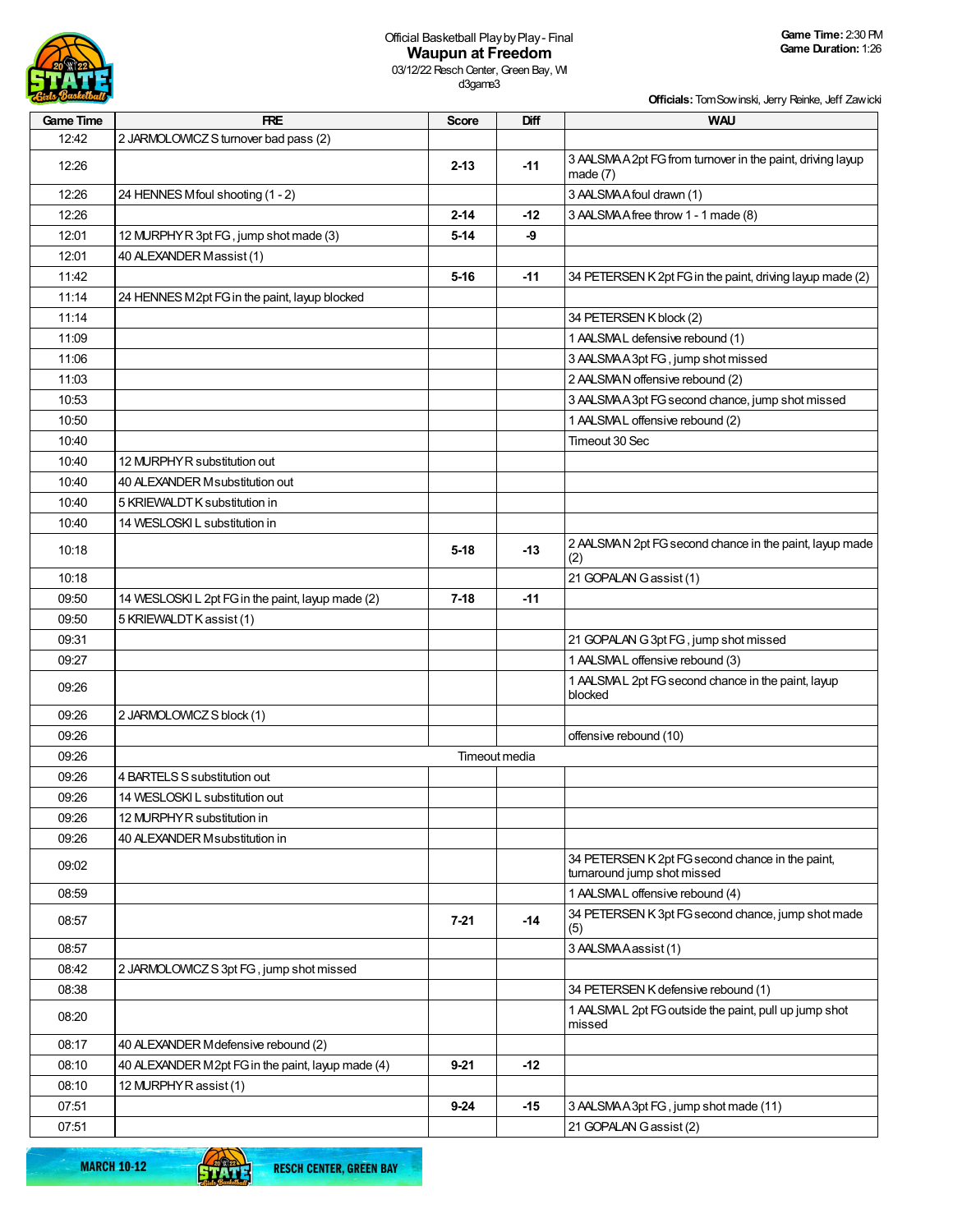

## Official Basketball PlaybyPlay- Final **Waupun at Freedom**

**Officials:**TomSowinski, Jerry Reinke, Jeff Zawicki

| <b>Game Time</b> | <b>FRE</b>                                        | Score    | Diff          | <b>WAU</b>                                                                      |
|------------------|---------------------------------------------------|----------|---------------|---------------------------------------------------------------------------------|
| 12:42            | 2 JARMOLOWICZ S turnover bad pass (2)             |          |               |                                                                                 |
| 12:26            |                                                   | $2 - 13$ | $-11$         | 3 AALSMA A 2pt FG from turnover in the paint, driving layup<br>made $(7)$       |
| 12:26            | 24 HENNES Mfoul shooting (1 - 2)                  |          |               | 3 AALSMA A foul drawn (1)                                                       |
| 12:26            |                                                   | $2 - 14$ | $-12$         | 3 AALSMA A free throw 1 - 1 made (8)                                            |
| 12:01            | 12 MURPHY R 3pt FG, jump shot made (3)            | $5-14$   | -9            |                                                                                 |
| 12:01            | 40 ALEXANDER Massist (1)                          |          |               |                                                                                 |
| 11:42            |                                                   | $5 - 16$ | -11           | 34 PETERSEN K 2pt FG in the paint, driving layup made (2)                       |
| 11:14            | 24 HENNES M2pt FG in the paint, layup blocked     |          |               |                                                                                 |
| 11:14            |                                                   |          |               | 34 PETERSEN K block (2)                                                         |
| 11:09            |                                                   |          |               | 1 AALSMAL defensive rebound (1)                                                 |
| 11:06            |                                                   |          |               | 3 AALSMAA3pt FG, jump shot missed                                               |
| 11:03            |                                                   |          |               | 2 AALSMAN offensive rebound (2)                                                 |
| 10:53            |                                                   |          |               | 3 AALSMAA 3pt FG second chance, jump shot missed                                |
| 10:50            |                                                   |          |               | 1 AALSMAL offensive rebound (2)                                                 |
| 10:40            |                                                   |          |               | Timeout 30 Sec                                                                  |
| 10:40            | 12 MURPHY R substitution out                      |          |               |                                                                                 |
| 10:40            | 40 ALEXANDER Msubstitution out                    |          |               |                                                                                 |
| 10:40            | 5 KRIEWALDT K substitution in                     |          |               |                                                                                 |
| 10:40            | 14 WESLOSKI L substitution in                     |          |               |                                                                                 |
| 10:18            |                                                   | $5 - 18$ | $-13$         | 2 AALSMAN 2pt FG second chance in the paint, layup made<br>(2)                  |
| 10:18            |                                                   |          |               | 21 GOPALAN Gassist (1)                                                          |
| 09:50            | 14 WESLOSKI L 2pt FG in the paint, layup made (2) | $7-18$   | -11           |                                                                                 |
| 09:50            | 5 KRIEWALDT K assist (1)                          |          |               |                                                                                 |
| 09:31            |                                                   |          |               | 21 GOPALAN G 3pt FG, jump shot missed                                           |
| 09:27            |                                                   |          |               | 1 AALSMAL offensive rebound (3)                                                 |
| 09:26            |                                                   |          |               | 1 AALSMAL 2pt FG second chance in the paint, layup<br>blocked                   |
| 09:26            | 2 JARMOLOWICZ S block (1)                         |          |               |                                                                                 |
| 09:26            |                                                   |          |               | offensive rebound (10)                                                          |
| 09:26            |                                                   |          | Timeout media |                                                                                 |
| 09:26            | 4 BARTELS S substitution out                      |          |               |                                                                                 |
| 09:26            | 14 WESLOSKI L substitution out                    |          |               |                                                                                 |
| 09:26            | 12 MURPHY R substitution in                       |          |               |                                                                                 |
| 09:26            | 40 ALEXANDER Msubstitution in                     |          |               |                                                                                 |
| 09:02            |                                                   |          |               | 34 PETERSEN K 2pt FG second chance in the paint,<br>turnaround jump shot missed |
| 08:59            |                                                   |          |               | 1 AALSMAL offensive rebound (4)                                                 |
| 08:57            |                                                   | $7 - 21$ | $-14$         | 34 PETERSEN K 3pt FG second chance, jump shot made<br>(5)                       |
| 08:57            |                                                   |          |               | 3 AALSMA Aassist (1)                                                            |
| 08:42            | 2 JARMOLOWICZ S 3pt FG, jump shot missed          |          |               |                                                                                 |
| 08:38            |                                                   |          |               | 34 PETERSEN K defensive rebound (1)                                             |
| 08:20            |                                                   |          |               | 1 AALSMAL 2pt FG outside the paint, pull up jump shot<br>missed                 |
| 08:17            | 40 ALEXANDER Mdefensive rebound (2)               |          |               |                                                                                 |
| 08:10            | 40 ALEXANDER M2pt FG in the paint, layup made (4) | $9 - 21$ | -12           |                                                                                 |
| 08:10            | 12 MURPHY R assist (1)                            |          |               |                                                                                 |
| 07:51            |                                                   | $9 - 24$ | $-15$         | 3 AALSMAA3pt FG, jump shot made (11)                                            |
| 07:51            |                                                   |          |               | 21 GOPALAN Gassist (2)                                                          |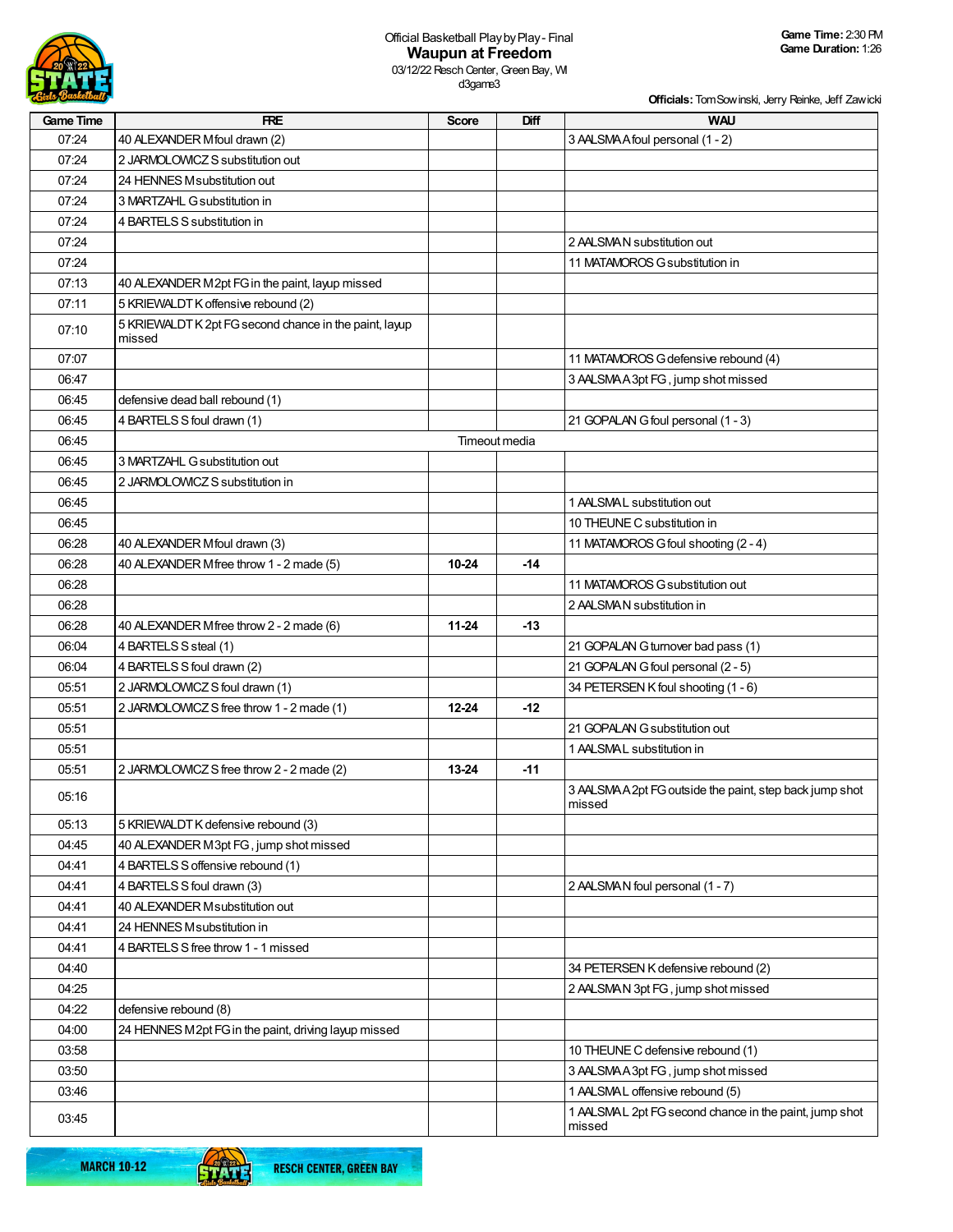

d3game3

**Officials:**TomSowinski, Jerry Reinke, Jeff Zawicki

| <b>Game Time</b> | <b>FRE</b>                                                       | Score     | Diff          | <b>WAU</b>                                                       |
|------------------|------------------------------------------------------------------|-----------|---------------|------------------------------------------------------------------|
| 07:24            | 40 ALEXANDER Mfoul drawn (2)                                     |           |               | 3 AALSMA A foul personal (1 - 2)                                 |
| 07:24            | 2 JARMOLOWICZ S substitution out                                 |           |               |                                                                  |
| 07:24            | 24 HENNES Msubstitution out                                      |           |               |                                                                  |
| 07:24            | 3 MARTZAHL G substitution in                                     |           |               |                                                                  |
| 07:24            | 4 BARTELS S substitution in                                      |           |               |                                                                  |
| 07:24            |                                                                  |           |               | 2 AALSMAN substitution out                                       |
| 07:24            |                                                                  |           |               | 11 MATAMOROS G substitution in                                   |
| 07:13            | 40 ALEXANDER M2pt FG in the paint, layup missed                  |           |               |                                                                  |
| 07:11            | 5 KRIEWALDT K offensive rebound (2)                              |           |               |                                                                  |
| 07:10            | 5 KRIEWALDT K 2pt FG second chance in the paint, layup<br>missed |           |               |                                                                  |
| 07:07            |                                                                  |           |               | 11 MATAMOROS G defensive rebound (4)                             |
| 06:47            |                                                                  |           |               | 3 AALSMAA3pt FG, jump shot missed                                |
| 06:45            | defensive dead ball rebound (1)                                  |           |               |                                                                  |
| 06:45            | 4 BARTELS S foul drawn (1)                                       |           |               | 21 GOPALAN G foul personal (1 - 3)                               |
| 06:45            |                                                                  |           | Timeout media |                                                                  |
| 06:45            | 3 MARTZAHL G substitution out                                    |           |               |                                                                  |
| 06:45            | 2 JARMOLOWICZ S substitution in                                  |           |               |                                                                  |
| 06:45            |                                                                  |           |               | 1 AALSMAL substitution out                                       |
| 06:45            |                                                                  |           |               | 10 THEUNE C substitution in                                      |
| 06:28            | 40 ALEXANDER Mfoul drawn (3)                                     |           |               | 11 MATAMOROS G foul shooting (2 - 4)                             |
| 06:28            | 40 ALEXANDER Mfree throw 1 - 2 made (5)                          | $10 - 24$ | $-14$         |                                                                  |
| 06:28            |                                                                  |           |               | 11 MATAMOROS G substitution out                                  |
| 06:28            |                                                                  |           |               | 2 AALSMAN substitution in                                        |
| 06:28            | 40 ALEXANDER Mfree throw 2 - 2 made (6)                          | $11 - 24$ | $-13$         |                                                                  |
| 06:04            | 4 BARTELS S steal (1)                                            |           |               | 21 GOPALAN G turnover bad pass (1)                               |
| 06:04            | 4 BARTELS S foul drawn (2)                                       |           |               | 21 GOPALAN G foul personal (2 - 5)                               |
| 05:51            | 2 JARMOLOWICZ S foul drawn (1)                                   |           |               | 34 PETERSEN K foul shooting (1 - 6)                              |
| 05:51            | 2 JARMOLOWICZ S free throw 1 - 2 made (1)                        | $12 - 24$ | $-12$         |                                                                  |
| 05:51            |                                                                  |           |               | 21 GOPALAN G substitution out                                    |
| 05:51            |                                                                  |           |               | 1 AALSMAL substitution in                                        |
| 05:51            | 2 JARMOLOWICZ S free throw 2 - 2 made (2)                        | 13-24     | $-11$         |                                                                  |
| 05:16            |                                                                  |           |               | 3 AALSMAA2pt FG outside the paint, step back jump shot<br>missed |
| 05:13            | 5 KRIEWALDT K defensive rebound (3)                              |           |               |                                                                  |
| 04:45            | 40 ALEXANDER M3pt FG, jump shot missed                           |           |               |                                                                  |
| 04:41            | 4 BARTELS S offensive rebound (1)                                |           |               |                                                                  |
| 04:41            | 4 BARTELS S foul drawn (3)                                       |           |               | 2 AALSMAN foul personal (1 - 7)                                  |
| 04:41            | 40 ALEXANDER Msubstitution out                                   |           |               |                                                                  |
| 04:41            | 24 HENNES Msubstitution in                                       |           |               |                                                                  |
| 04:41            | 4 BARTELS S free throw 1 - 1 missed                              |           |               |                                                                  |
| 04:40            |                                                                  |           |               | 34 PETERSEN K defensive rebound (2)                              |
| 04:25            |                                                                  |           |               | 2 AALSMAN 3pt FG, jump shot missed                               |
| 04:22            | defensive rebound (8)                                            |           |               |                                                                  |
| 04:00            | 24 HENNES M2pt FG in the paint, driving layup missed             |           |               |                                                                  |
| 03:58            |                                                                  |           |               | 10 THEUNE C defensive rebound (1)                                |
| 03:50            |                                                                  |           |               | 3 AALSMAA3pt FG, jump shot missed                                |
| 03:46            |                                                                  |           |               | 1 AALSMAL offensive rebound (5)                                  |
| 03:45            |                                                                  |           |               | 1 AALSMAL 2pt FG second chance in the paint, jump shot<br>missed |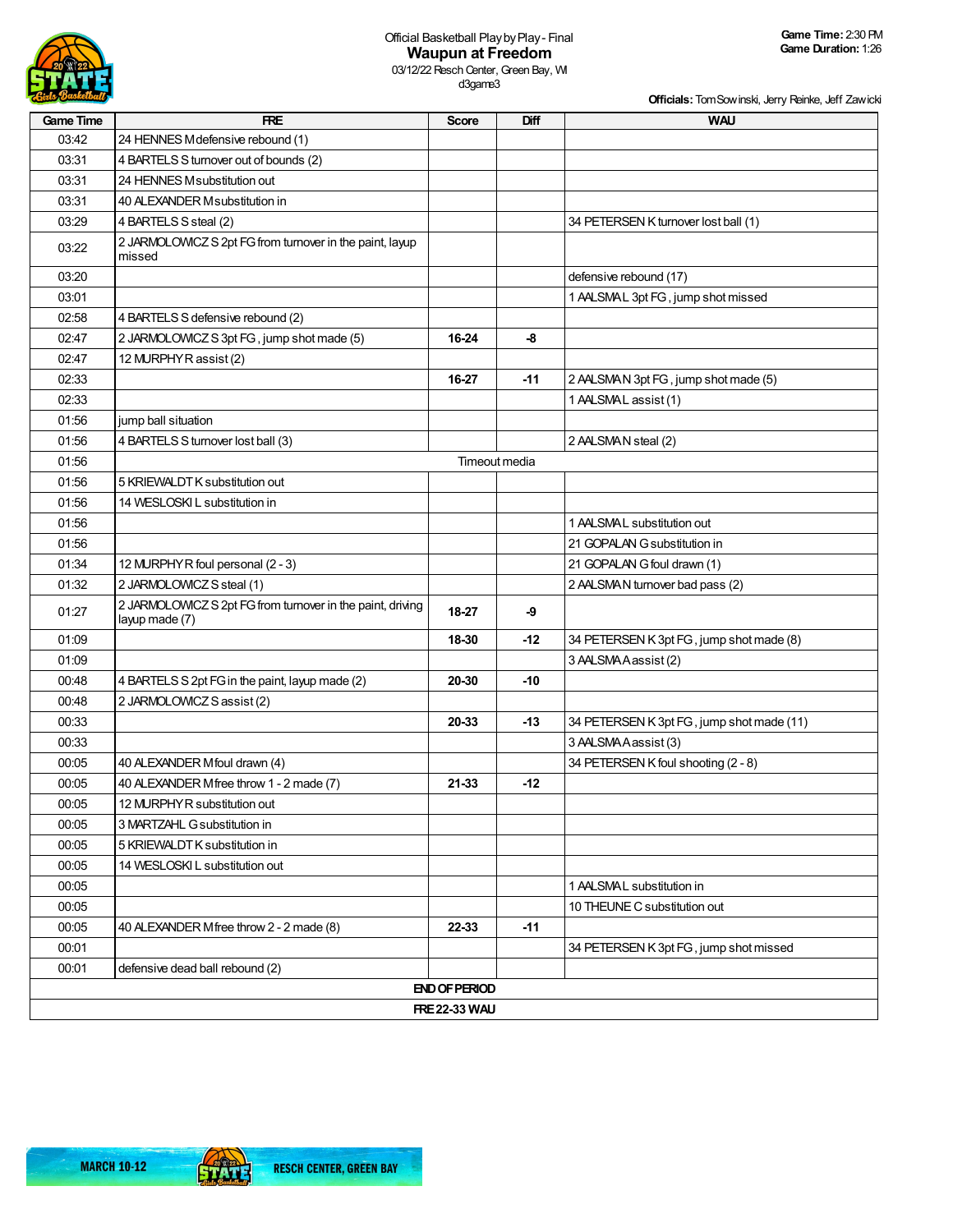

**Officials:**TomSowinski, Jerry Reinke, Jeff Zawicki

| <b>Game Time</b> | <b>FRE</b>                                                                   | <b>Score</b>         | Diff          | <b>WAU</b>                                |
|------------------|------------------------------------------------------------------------------|----------------------|---------------|-------------------------------------------|
| 03:42            | 24 HENNES Mdefensive rebound (1)                                             |                      |               |                                           |
| 03:31            | 4 BARTELS S turnover out of bounds (2)                                       |                      |               |                                           |
| 03:31            | 24 HENNES Msubstitution out                                                  |                      |               |                                           |
| 03:31            | 40 ALEXANDER Msubstitution in                                                |                      |               |                                           |
| 03:29            | 4 BARTELS S steal (2)                                                        |                      |               | 34 PETERSEN K turnover lost ball (1)      |
| 03:22            | 2 JARMOLOWICZ S 2pt FG from turnover in the paint, layup<br>missed           |                      |               |                                           |
| 03:20            |                                                                              |                      |               | defensive rebound (17)                    |
| 03:01            |                                                                              |                      |               | 1 AALSMAL 3pt FG, jump shot missed        |
| 02:58            | 4 BARTELS S defensive rebound (2)                                            |                      |               |                                           |
| 02:47            | 2 JARMOLOWICZ S 3pt FG, jump shot made (5)                                   | 16-24                | -8            |                                           |
| 02:47            | 12 MURPHY R assist (2)                                                       |                      |               |                                           |
| 02:33            |                                                                              | 16-27                | $-11$         | 2 AALSMAN 3pt FG, jump shot made (5)      |
| 02:33            |                                                                              |                      |               | 1 AALSMAL assist (1)                      |
| 01:56            | jump ball situation                                                          |                      |               |                                           |
| 01:56            | 4 BARTELS S turnover lost ball (3)                                           |                      |               | 2 AALSMAN steal (2)                       |
| 01:56            |                                                                              |                      | Timeout media |                                           |
| 01:56            | 5 KRIEWALDT K substitution out                                               |                      |               |                                           |
| 01:56            | 14 WESLOSKI L substitution in                                                |                      |               |                                           |
| 01:56            |                                                                              |                      |               | 1 AALSMAL substitution out                |
| 01:56            |                                                                              |                      |               | 21 GOPALAN G substitution in              |
| 01:34            | 12 MURPHY R foul personal (2 - 3)                                            |                      |               | 21 GOPALAN G foul drawn (1)               |
| 01:32            | 2 JARMOLOWICZ S steal (1)                                                    |                      |               | 2 AALSMAN turnover bad pass (2)           |
| 01:27            | 2 JARMOLOWICZ S 2pt FG from turnover in the paint, driving<br>layup made (7) | 18-27                | -9            |                                           |
| 01:09            |                                                                              | 18-30                | $-12$         | 34 PETERSEN K 3pt FG, jump shot made (8)  |
| 01:09            |                                                                              |                      |               | 3 AALSMA Aassist (2)                      |
| 00:48            | 4 BARTELS S 2pt FG in the paint, layup made (2)                              | 20-30                | $-10$         |                                           |
| 00:48            | 2 JARMOLOWICZ S assist (2)                                                   |                      |               |                                           |
| 00:33            |                                                                              | 20-33                | $-13$         | 34 PETERSEN K 3pt FG, jump shot made (11) |
| 00:33            |                                                                              |                      |               | 3 AALSMA Aassist (3)                      |
| 00:05            | 40 ALEXANDER Mfoul drawn (4)                                                 |                      |               | 34 PETERSEN K foul shooting (2 - 8)       |
| 00:05            | 40 ALEXANDER Mfree throw 1 - 2 made (7)                                      | 21-33                | $-12$         |                                           |
| 00:05            | 12 MURPHY R substitution out                                                 |                      |               |                                           |
| 00:05            | 3 MARTZAHL G substitution in                                                 |                      |               |                                           |
| 00:05            | 5 KRIEWALDT K substitution in                                                |                      |               |                                           |
| 00:05            | 14 WESLOSKI L substitution out                                               |                      |               |                                           |
| 00:05            |                                                                              |                      |               | 1 AALSMAL substitution in                 |
| 00:05            |                                                                              |                      |               | 10 THEUNE C substitution out              |
| 00:05            | 40 ALEXANDER Mfree throw 2 - 2 made (8)                                      | 22-33                | -11           |                                           |
| 00:01            |                                                                              |                      |               | 34 PETERSEN K 3pt FG, jump shot missed    |
| 00:01            | defensive dead ball rebound (2)                                              |                      |               |                                           |
|                  |                                                                              | <b>END OF PERIOD</b> |               |                                           |
|                  |                                                                              | <b>FRE 22-33 WAU</b> |               |                                           |

**STATE**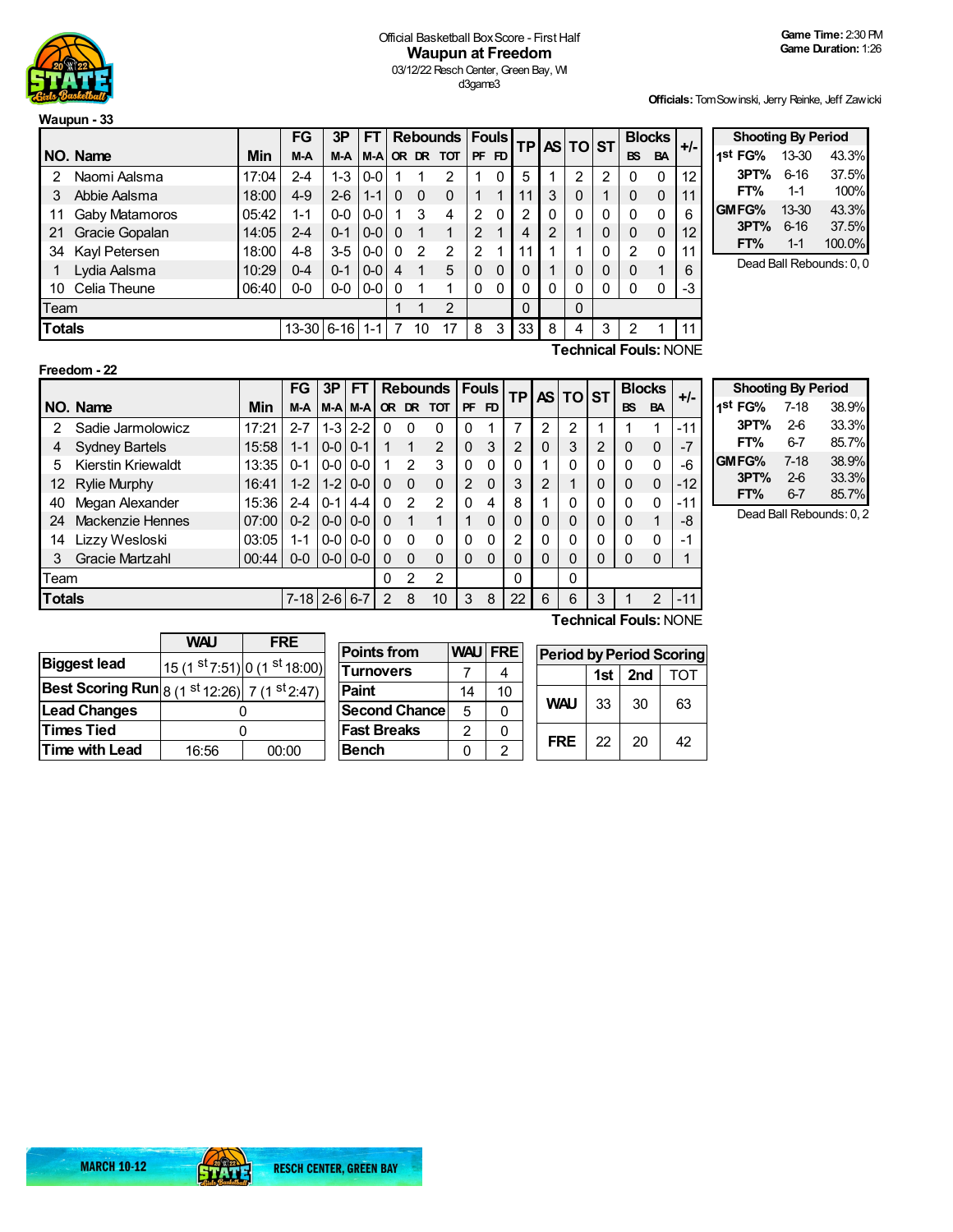

## Official Basketball Box Score - First Half **Waupun at Freedom** 03/12/22 Resch Center, Green Bay, WI d3game3

**Officials:**TomSowinski, Jerry Reinke, Jeff Zawicki

|               |                |       | <b>FG</b>  | 3P      | FT      |   | <b>Rebounds   Fouls  </b> |                |               |          |          | <b>TP AS TO ST</b> |   |              | <b>Blocks</b> |                              | $+/-$ |
|---------------|----------------|-------|------------|---------|---------|---|---------------------------|----------------|---------------|----------|----------|--------------------|---|--------------|---------------|------------------------------|-------|
|               | NO. Name       | Min   | M-A        | M-A     | M-A     |   |                           | OR DR TOT      |               | PF FD    |          |                    |   |              | <b>BS</b>     | <b>BA</b>                    |       |
| 2             | Naomi Aalsma   | 17:04 | 2-4        | 1-3     | $0-0$   |   |                           | 2              |               | 0        | 5        |                    | 2 | 2            | 0             | $\Omega$                     | 12    |
| 3             | Abbie Aalsma   | 18:00 | $4 - 9$    | $2 - 6$ | $1 - 1$ | 0 | 0                         | 0              |               |          | 11       | 3                  | 0 |              | $\Omega$      | 0                            | 11    |
| 11            | Gaby Matamoros | 05:42 | $1 - 1$    | $0-0$   | $0 - 0$ |   | 3                         | 4              | 2             | $\Omega$ | 2        | 0                  | 0 | 0            | 0             | 0                            | 6     |
| 21            | Gracie Gopalan | 14:05 | 2-4        | $0 - 1$ | $0 - 0$ | 0 | 1                         | 1              | 2             |          | 4        | 2                  |   | 0            | $\Omega$      | $\mathbf 0$                  | 12    |
| 34            | Kayl Petersen  | 18:00 | 4-8        | $3-5$   | $0-0$   | 0 | $\mathcal{P}$             | $\overline{2}$ | $\mathcal{P}$ |          | 11       |                    |   | $\mathbf 0$  | $\mathcal{P}$ | $\Omega$                     | 11    |
|               | Lydia Aalsma   | 10:29 | 0-4        | $0 - 1$ | $0-0$   | 4 | 1                         | 5              | $\Omega$      | $\Omega$ | $\Omega$ |                    | 0 | $\mathbf{0}$ | $\Omega$      | 1                            | 6     |
| 10            | Celia Theune   | 06:40 | $0-0$      | $0-0$   | 0-0     | 0 |                           | 1              | 0             | 0        | 0        | 0                  | 0 | 0            | 0             | 0                            | -3    |
|               | Team           |       |            |         |         |   | 1                         | $\overline{2}$ |               |          | $\Omega$ |                    | 0 |              |               |                              |       |
| <b>Totals</b> |                |       | 13-30 6-16 |         | $1 - 1$ | 7 | 10                        | 17             | 8             | 3        | 33       | 8                  | 4 | 3            | 2             |                              |       |
|               |                |       |            |         |         |   |                           |                |               |          |          |                    |   |              |               | <b>Technical Fouls: NONE</b> |       |

| $+/-$            | <b>Shooting By Period</b> |          |                         |
|------------------|---------------------------|----------|-------------------------|
|                  | 1st FG%                   | 13-30    | 43.3%                   |
| 12 <sup>12</sup> | 3PT%                      | $6 - 16$ | 37.5%                   |
| 11               | FT%                       | $1 - 1$  | 100%                    |
| 6                | GMFG%                     | 13-30    | 43.3%                   |
| 12               | 3PT%                      | $6 - 16$ | 37.5%                   |
| 11               | FT%                       | $1 - 1$  | 100.0%                  |
| G                |                           |          | Dead Ball Rebounds: 0.0 |

**Freedom - 22**

|               |                           |       | FG             | 3P            | FT          |              |               | <b>Rebounds</b> |                | <b>Fouls</b> | ΤP             |   | AS TO ST     |          |           | <b>Blocks</b> | $+/-$                                                                                                                                                                                                                                                                                                                   |
|---------------|---------------------------|-------|----------------|---------------|-------------|--------------|---------------|-----------------|----------------|--------------|----------------|---|--------------|----------|-----------|---------------|-------------------------------------------------------------------------------------------------------------------------------------------------------------------------------------------------------------------------------------------------------------------------------------------------------------------------|
|               | NO. Name                  | Min   | M-A            |               | M-AM-A      | <b>OR</b>    |               | DR TOT          | <b>PF</b>      | FD           |                |   |              |          | <b>BS</b> | <b>BA</b>     |                                                                                                                                                                                                                                                                                                                         |
| $\mathcal{P}$ | Sadie Jarmolowicz         | 17:21 | $2 - 7$        |               | $1 - 3$ 2-2 | $\Omega$     | $\Omega$      | 0               | 0              |              | 7              | 2 | 2            |          |           |               | $-11$                                                                                                                                                                                                                                                                                                                   |
| 4             | <b>Sydney Bartels</b>     | 15:58 | $1 - 1$        | $0 - 0 0 - 1$ |             |              |               | 2               | $\mathbf{0}$   | 3            | $\overline{2}$ | 0 | 3            | 2        | 0         | 0             | -7                                                                                                                                                                                                                                                                                                                      |
| 5             | <b>Kierstin Kriewaldt</b> | 13:35 | $0 - 1$        | $0-0$         | $0 - 0$     |              | $\mathcal{P}$ | 3               | $\Omega$       | 0            | 0              |   | $\Omega$     | $\Omega$ | $\Omega$  | $\Omega$      | -6                                                                                                                                                                                                                                                                                                                      |
| 12            | <b>Rylie Murphy</b>       | 16:41 | $1 - 2$        | $1-2$         | $0 - 0$     | 0            | $\Omega$      | $\Omega$        | $\overline{2}$ | $\mathbf{0}$ | 3              | 2 |              | 0        | $\Omega$  | $\mathbf{0}$  | $-12$                                                                                                                                                                                                                                                                                                                   |
| 40            | Megan Alexander           | 15:36 | $2 - 4$        | $0 - 1$       | $4 - 4$     | <sup>0</sup> | $\mathcal{P}$ | 2               | $\Omega$       | 4            | 8              |   | $\mathbf{0}$ | $\Omega$ | $\Omega$  | $\Omega$      | $-11$                                                                                                                                                                                                                                                                                                                   |
| 24            | Mackenzie Hennes          | 07:00 | $0 - 2$        | $0-0$         | $0 - 0$     | 0            | 1             |                 |                | 0            | 0              | 0 | 0            | 0        | 0         |               | -8                                                                                                                                                                                                                                                                                                                      |
| 14            | Lizzy Wesloski            | 03:05 | 1-1            | $0 - 0$       | $0-0$       | $\Omega$     | $\Omega$      | $\Omega$        | $\Omega$       | 0            | 2              | 0 | 0            |          | $\Omega$  | $\mathbf{0}$  | -1                                                                                                                                                                                                                                                                                                                      |
| 3             | <b>Gracie Martzahl</b>    | 00:44 | $0-0$          | $ 0-0 $ 0-0   |             | 0            | $\Omega$      | $\Omega$        | $\Omega$       | 0            | 0              |   | 0            |          | 0         | 0             |                                                                                                                                                                                                                                                                                                                         |
| Team          |                           |       |                |               |             | 0            | $\mathcal{P}$ | 2               |                |              | 0              |   | $\mathbf{0}$ |          |           |               |                                                                                                                                                                                                                                                                                                                         |
| <b>Totals</b> |                           |       | $7 - 18$   2-6 |               | $6 - 7$     | 2            | 8             | 10              | 3              | 8            | 22             | 6 | 6            | 3        |           | 2             | $-11$                                                                                                                                                                                                                                                                                                                   |
|               |                           |       |                |               |             |              |               |                 |                |              |                |   |              |          |           |               | $T =$ $\frac{1}{2}$ $\frac{1}{2}$ $\frac{1}{2}$ $\frac{1}{2}$ $\frac{1}{2}$ $\frac{1}{2}$ $\frac{1}{2}$ $\frac{1}{2}$ $\frac{1}{2}$ $\frac{1}{2}$ $\frac{1}{2}$ $\frac{1}{2}$ $\frac{1}{2}$ $\frac{1}{2}$ $\frac{1}{2}$ $\frac{1}{2}$ $\frac{1}{2}$ $\frac{1}{2}$ $\frac{1}{2}$ $\frac{1}{2}$ $\frac{1}{2}$ $\frac{1}{$ |

| <b>Shooting By Period</b> |          |       |
|---------------------------|----------|-------|
| 1st FG%                   | $7 - 18$ | 38.9% |
| 3PT%                      | $2-6$    | 33.3% |
| FT%                       | $6 - 7$  | 85.7% |
| GMFG%                     | $7-18$   | 38.9% |
| 3PT%                      | $2-6$    | 33.3% |
| FT%                       | $6-7$    | 85.7% |

Dead Ball Rebounds: 0, 2

|                                                                     | <b>WAU</b> | <b>FRE</b>                    |  |  |
|---------------------------------------------------------------------|------------|-------------------------------|--|--|
| <b>Biggest lead</b>                                                 |            | 15 (1 st 7:51) 0 (1 st 18:00) |  |  |
| <b>Best Scoring Run</b> $ 8(1^{st}12:26) $ 7 (1 <sup>st</sup> 2:47) |            |                               |  |  |
| <b>Lead Changes</b>                                                 |            |                               |  |  |
| <b>Times Tied</b>                                                   |            |                               |  |  |
| Time with Lead                                                      | 16:56      | 00:00                         |  |  |
|                                                                     |            |                               |  |  |

| <b>Points from</b>   | <b>WAU</b> | <b>FRE</b> | Per |
|----------------------|------------|------------|-----|
| <b>Turnovers</b>     |            |            |     |
| <b>Paint</b>         | 14         | 10         |     |
| <b>Second Chance</b> | 5          | 0          |     |
| <b>Fast Breaks</b>   | 2          | 0          |     |
| <b>Bench</b>         |            | 2          |     |

|  | Technical Fouis: NONE |  |
|--|-----------------------|--|
|  |                       |  |

| <b>Period by Period Scoring</b> |    |                 |     |  |  |  |  |  |
|---------------------------------|----|-----------------|-----|--|--|--|--|--|
|                                 |    | 1st $\vert$ 2nd | TOT |  |  |  |  |  |
| <b>WAU</b><br>33                |    | 30              | 63  |  |  |  |  |  |
| FRF                             | 22 | 20              | 42  |  |  |  |  |  |

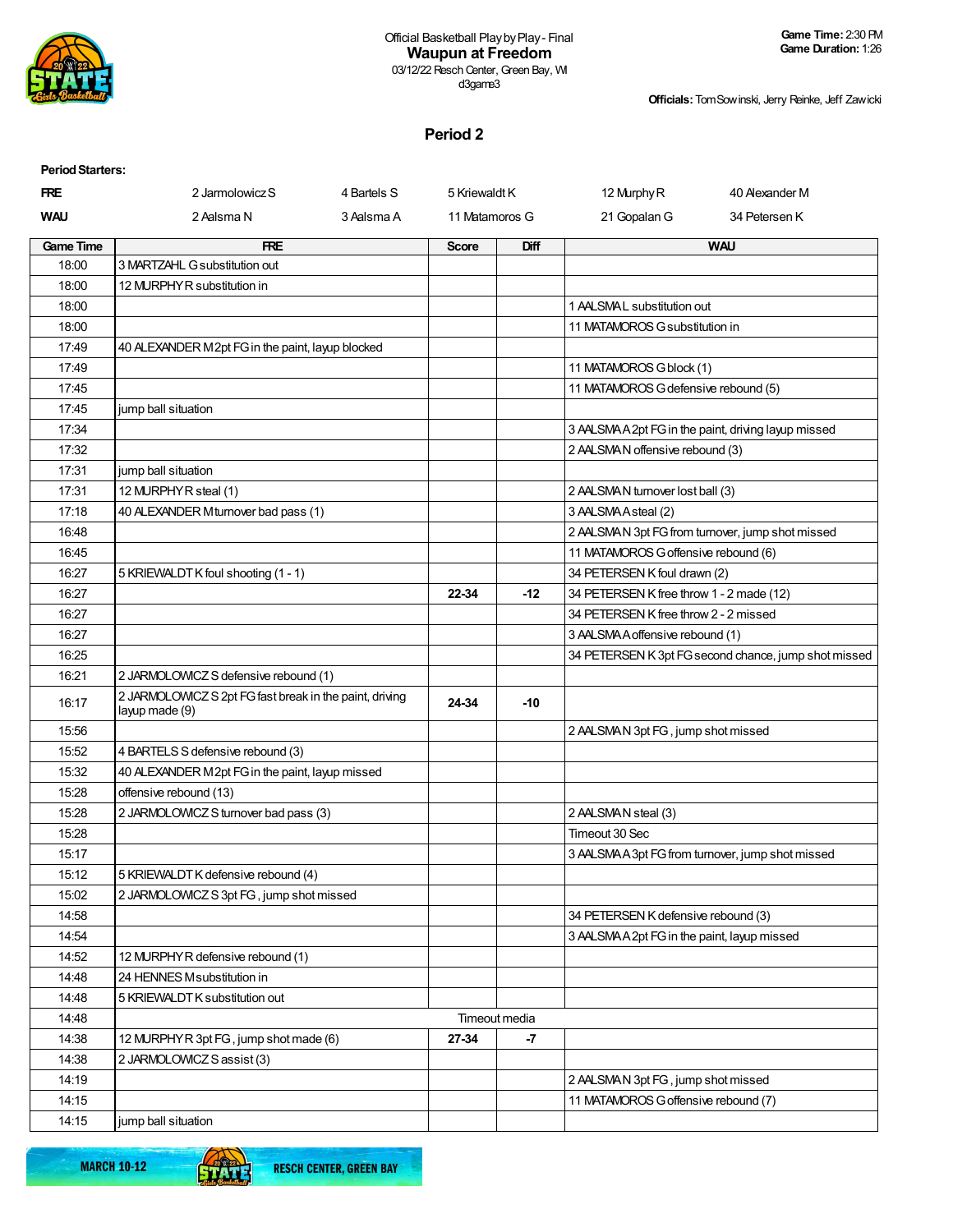

**Officials:**TomSowinski, Jerry Reinke, Jeff Zawicki

## **Period 2**

| <b>Period Starters:</b> |                                                                           |             |                |               |                                            |                                                      |
|-------------------------|---------------------------------------------------------------------------|-------------|----------------|---------------|--------------------------------------------|------------------------------------------------------|
| <b>FRE</b>              | 2 Jarmolowicz S                                                           | 4 Bartels S | 5 Kriewaldt K  |               | 12 Murphy R                                | 40 Alexander M                                       |
| <b>WAU</b>              | 2 Aalsma N                                                                | 3 Aalsma A  | 11 Matamoros G |               | 21 Gopalan G                               | 34 Petersen K                                        |
| <b>Game Time</b>        | <b>FRE</b>                                                                |             | <b>Score</b>   | <b>Diff</b>   |                                            | <b>WAU</b>                                           |
| 18:00                   | 3 MARTZAHL G substitution out                                             |             |                |               |                                            |                                                      |
| 18:00                   | 12 MURPHY R substitution in                                               |             |                |               |                                            |                                                      |
| 18:00                   |                                                                           |             |                |               | 1 AALSMAL substitution out                 |                                                      |
| 18:00                   |                                                                           |             |                |               | 11 MATAMOROS G substitution in             |                                                      |
| 17:49                   | 40 ALEXANDER M2pt FG in the paint, layup blocked                          |             |                |               |                                            |                                                      |
| 17:49                   |                                                                           |             |                |               | 11 MATAMOROS G block (1)                   |                                                      |
| 17:45                   |                                                                           |             |                |               | 11 MATAMOROS G defensive rebound (5)       |                                                      |
| 17:45                   | jump ball situation                                                       |             |                |               |                                            |                                                      |
| 17:34                   |                                                                           |             |                |               |                                            | 3 AALSMAA2pt FG in the paint, driving layup missed   |
| 17:32                   |                                                                           |             |                |               | 2 AALSMAN offensive rebound (3)            |                                                      |
| 17:31                   | jump ball situation                                                       |             |                |               |                                            |                                                      |
| 17:31                   | 12 MURPHY R steal (1)                                                     |             |                |               | 2 AALSMAN turnover lost ball (3)           |                                                      |
| 17:18                   | 40 ALEXANDER Mturnover bad pass (1)                                       |             |                |               | 3 AALSMAAsteal (2)                         |                                                      |
| 16:48                   |                                                                           |             |                |               |                                            | 2 AALSMAN 3pt FG from turnover, jump shot missed     |
| 16:45                   |                                                                           |             |                |               | 11 MATAMOROS G offensive rebound (6)       |                                                      |
| 16:27                   | 5 KRIEWALDT K foul shooting (1 - 1)                                       |             |                |               | 34 PETERSEN K foul drawn (2)               |                                                      |
| 16:27                   |                                                                           |             | 22-34          | $-12$         | 34 PETERSEN K free throw 1 - 2 made (12)   |                                                      |
| 16:27                   |                                                                           |             |                |               | 34 PETERSEN K free throw 2 - 2 missed      |                                                      |
| 16:27                   |                                                                           |             |                |               | 3 AALSMA A offensive rebound (1)           |                                                      |
| 16:25                   |                                                                           |             |                |               |                                            | 34 PETERSEN K 3pt FG second chance, jump shot missed |
| 16:21                   | 2 JARMOLOWICZ S defensive rebound (1)                                     |             |                |               |                                            |                                                      |
| 16:17                   | 2 JARMOLOWICZ S 2pt FG fast break in the paint, driving<br>layup made (9) |             | 24-34          | $-10$         |                                            |                                                      |
| 15:56                   |                                                                           |             |                |               | 2 AALSMAN 3pt FG, jump shot missed         |                                                      |
| 15:52                   | 4 BARTELS S defensive rebound (3)                                         |             |                |               |                                            |                                                      |
| 15:32                   | 40 ALEXANDER M2pt FG in the paint, layup missed                           |             |                |               |                                            |                                                      |
| 15:28                   | offensive rebound (13)                                                    |             |                |               |                                            |                                                      |
| 15:28                   | 2 JARMOLOWICZ S turnover bad pass (3)                                     |             |                |               | 2 AALSMAN steal (3)                        |                                                      |
| 15:28                   |                                                                           |             |                |               | Timeout 30 Sec                             |                                                      |
| 15:17                   |                                                                           |             |                |               |                                            | 3 AALSMA A 3pt FG from turnover, jump shot missed    |
| 15:12                   | 5 KRIEWALDT K defensive rebound (4)                                       |             |                |               |                                            |                                                      |
| 15:02                   | 2 JARMOLOWICZ S 3pt FG, jump shot missed                                  |             |                |               |                                            |                                                      |
| 14:58                   |                                                                           |             |                |               | 34 PETERSEN K defensive rebound (3)        |                                                      |
| 14:54                   |                                                                           |             |                |               | 3 AALSMAA2pt FG in the paint, layup missed |                                                      |
| 14:52                   | 12 MURPHY R defensive rebound (1)                                         |             |                |               |                                            |                                                      |
| 14:48                   | 24 HENNES Msubstitution in                                                |             |                |               |                                            |                                                      |
| 14:48                   | 5 KRIEWALDT K substitution out                                            |             |                |               |                                            |                                                      |
| 14:48                   |                                                                           |             |                | Timeout media |                                            |                                                      |
| 14:38                   | 12 MURPHY R 3pt FG, jump shot made (6)                                    |             | 27-34          | $-7$          |                                            |                                                      |
| 14:38                   | 2 JARMOLOWICZ S assist (3)                                                |             |                |               |                                            |                                                      |
| 14:19                   |                                                                           |             |                |               | 2 AALSMAN 3pt FG, jump shot missed         |                                                      |
| 14:15                   |                                                                           |             |                |               | 11 MATAMOROS G offensive rebound (7)       |                                                      |
| 14:15                   | jump ball situation                                                       |             |                |               |                                            |                                                      |

**MARCH 10-12** 

61

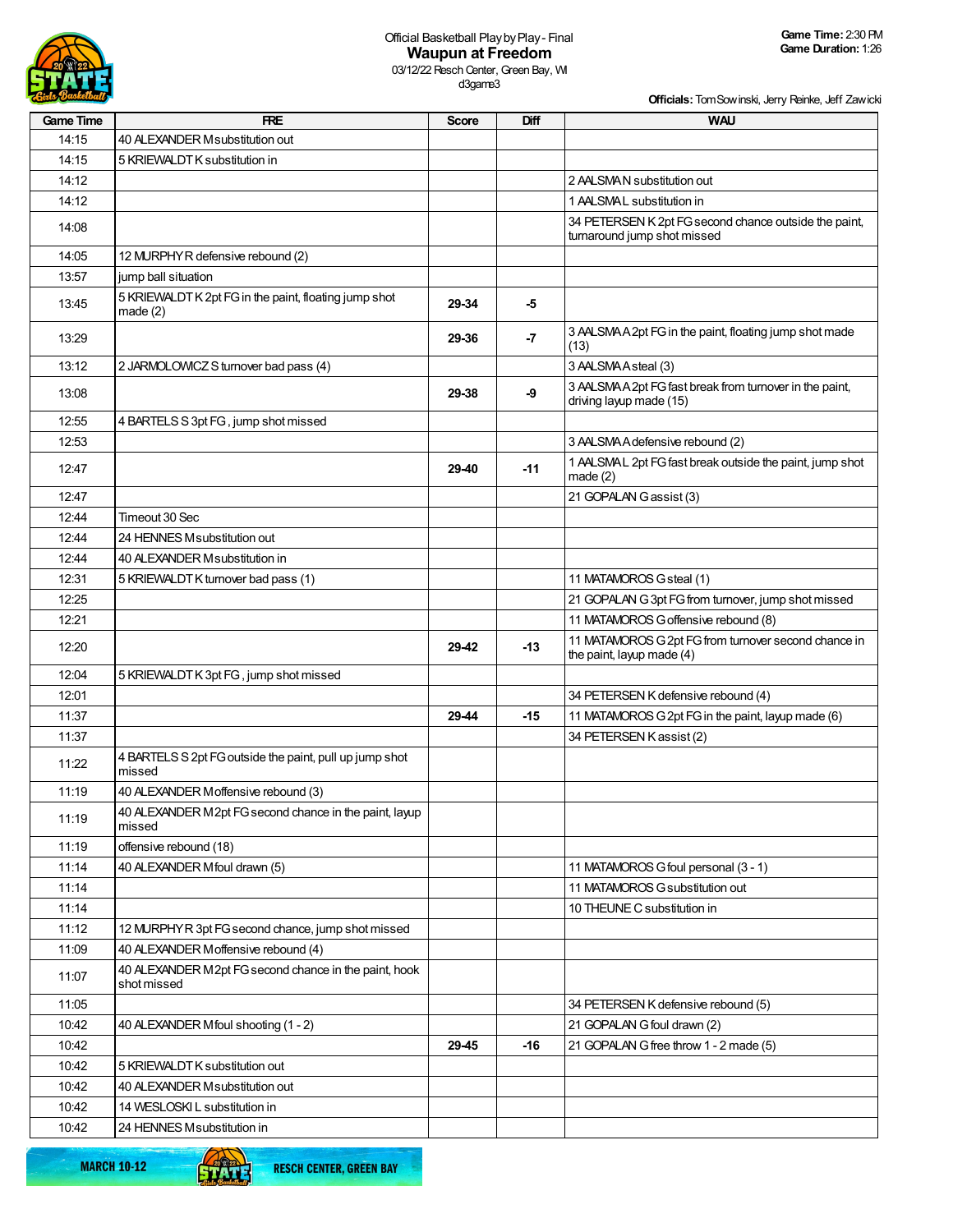

**Officials:**TomSowinski, Jerry Reinke, Jeff Zawicki

| <b>Game Time</b> | <b>FRE</b>                                                           | <b>Score</b> | Diff  | <b>WAU</b>                                                                           |
|------------------|----------------------------------------------------------------------|--------------|-------|--------------------------------------------------------------------------------------|
| 14:15            | 40 ALEXANDER Msubstitution out                                       |              |       |                                                                                      |
| 14:15            | 5 KRIEWALDT K substitution in                                        |              |       |                                                                                      |
| 14:12            |                                                                      |              |       | 2 AALSMAN substitution out                                                           |
| 14:12            |                                                                      |              |       | 1 AALSMAL substitution in                                                            |
| 14:08            |                                                                      |              |       | 34 PETERSEN K 2pt FG second chance outside the paint,<br>turnaround jump shot missed |
| 14:05            | 12 MURPHY R defensive rebound (2)                                    |              |       |                                                                                      |
| 13:57            | jump ball situation                                                  |              |       |                                                                                      |
| 13:45            | 5 KRIEWALDT K 2pt FG in the paint, floating jump shot<br>made $(2)$  | 29-34        | -5    |                                                                                      |
| 13:29            |                                                                      | 29-36        | -7    | 3 AALSMAA2pt FG in the paint, floating jump shot made<br>(13)                        |
| 13:12            | 2 JARMOLOWICZ S turnover bad pass (4)                                |              |       | 3 AALSMAAsteal (3)                                                                   |
| 13:08            |                                                                      | 29-38        | -9    | 3 AALSMA A 2pt FG fast break from turnover in the paint,<br>driving layup made (15)  |
| 12:55            | 4 BARTELS S 3pt FG, jump shot missed                                 |              |       |                                                                                      |
| 12:53            |                                                                      |              |       | 3 AALSMA A defensive rebound (2)                                                     |
| 12:47            |                                                                      | 29-40        | $-11$ | 1 AALSMAL 2pt FG fast break outside the paint, jump shot<br>made(2)                  |
| 12:47            |                                                                      |              |       | 21 GOPALAN Gassist (3)                                                               |
| 12:44            | Timeout 30 Sec                                                       |              |       |                                                                                      |
| 12:44            | 24 HENNES Msubstitution out                                          |              |       |                                                                                      |
| 12:44            | 40 ALEXANDER Msubstitution in                                        |              |       |                                                                                      |
| 12:31            | 5 KRIEWALDT K turnover bad pass (1)                                  |              |       | 11 MATAMOROS G steal (1)                                                             |
| 12:25            |                                                                      |              |       | 21 GOPALAN G 3pt FG from turnover, jump shot missed                                  |
| 12:21            |                                                                      |              |       | 11 MATAMOROS G offensive rebound (8)                                                 |
| 12:20            |                                                                      | 29-42        | $-13$ | 11 MATAMOROS G 2pt FG from turnover second chance in<br>the paint, layup made (4)    |
| 12:04            | 5 KRIEWALDT K 3pt FG, jump shot missed                               |              |       |                                                                                      |
| 12:01            |                                                                      |              |       | 34 PETERSEN K defensive rebound (4)                                                  |
| 11:37            |                                                                      | 29-44        | $-15$ | 11 MATAMOROS G 2pt FG in the paint, layup made (6)                                   |
| 11:37            |                                                                      |              |       | 34 PETERSEN K assist (2)                                                             |
| 11:22            | 4 BARTELS S 2pt FG outside the paint, pull up jump shot<br>missed    |              |       |                                                                                      |
| 11:19            | 40 ALEXANDER Moffensive rebound (3)                                  |              |       |                                                                                      |
| 11:19            | 40 ALEXANDER M2pt FG second chance in the paint, layup<br>missed     |              |       |                                                                                      |
| 11:19            | offensive rebound (18)                                               |              |       |                                                                                      |
| 11:14            | 40 ALEXANDER Mfoul drawn (5)                                         |              |       | 11 MATAMOROS G foul personal (3 - 1)                                                 |
| 11:14            |                                                                      |              |       | 11 MATAMOROS G substitution out                                                      |
| 11:14            |                                                                      |              |       | 10 THEUNE C substitution in                                                          |
| 11:12            | 12 MURPHYR 3pt FG second chance, jump shot missed                    |              |       |                                                                                      |
| 11:09            | 40 ALEXANDER Moffensive rebound (4)                                  |              |       |                                                                                      |
| 11:07            | 40 ALEXANDER M2pt FG second chance in the paint, hook<br>shot missed |              |       |                                                                                      |
| 11:05            |                                                                      |              |       | 34 PETERSEN K defensive rebound (5)                                                  |
| 10:42            | 40 ALEXANDER Mfoul shooting (1 - 2)                                  |              |       | 21 GOPALAN G foul drawn (2)                                                          |
| 10:42            |                                                                      | 29-45        | $-16$ | 21 GOPALAN G free throw 1 - 2 made (5)                                               |
| 10:42            | 5 KRIEWALDT K substitution out                                       |              |       |                                                                                      |
| 10:42            | 40 ALEXANDER Msubstitution out                                       |              |       |                                                                                      |
| 10:42            | 14 WESLOSKI L substitution in                                        |              |       |                                                                                      |
| 10:42            | 24 HENNES Msubstitution in                                           |              |       |                                                                                      |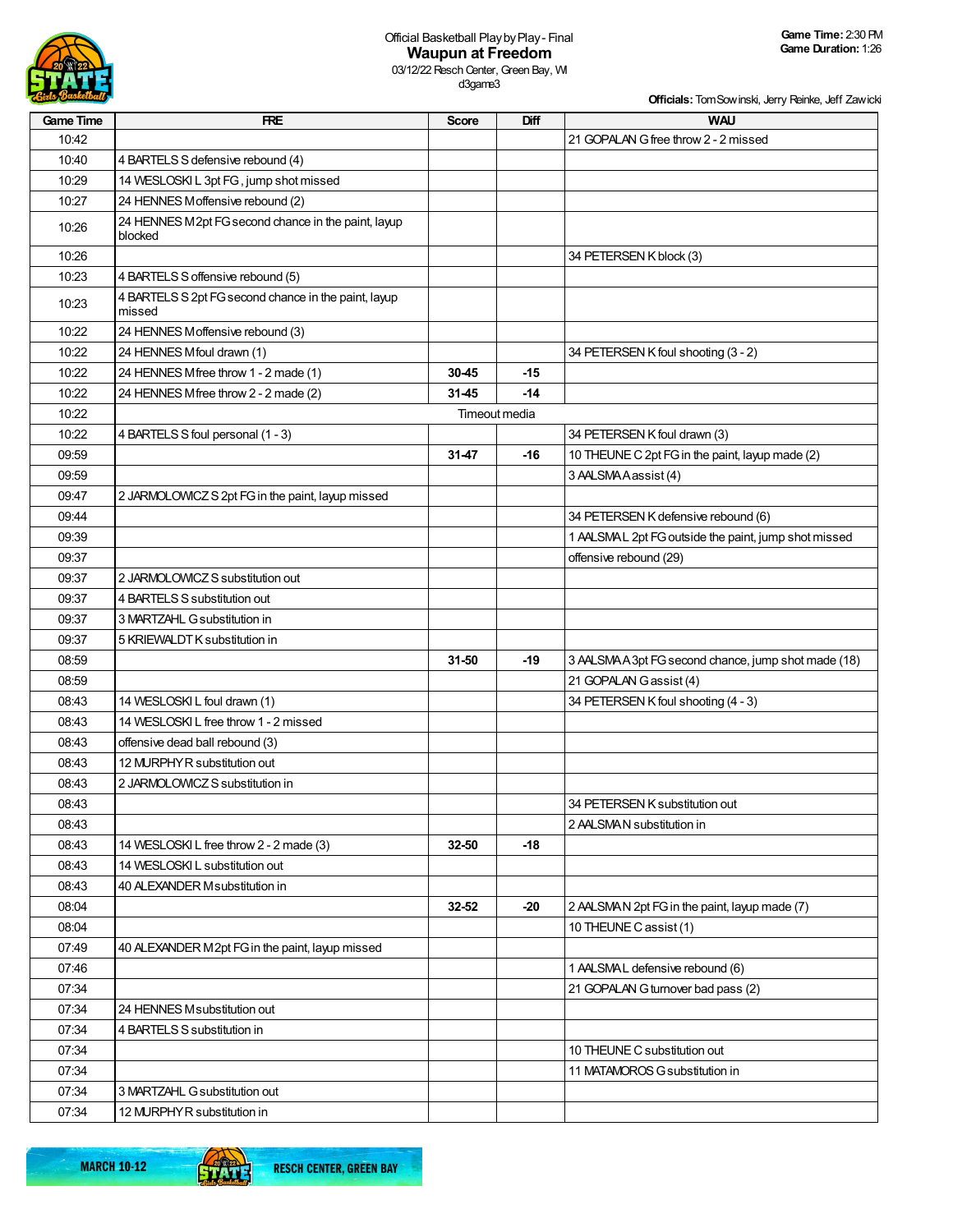

# Official Basketball PlaybyPlay- Final **Waupun at Freedom**

03/12/22 Resch Center, Green Bay, WI d3game3

| <b>Cirls Basketball</b> |                                                                |               |       | Officials: Tom Sow inski, Jerry Reinke, Jeff Zawicki |
|-------------------------|----------------------------------------------------------------|---------------|-------|------------------------------------------------------|
| <b>Game Time</b>        | <b>FRE</b>                                                     | <b>Score</b>  | Diff  | <b>WAU</b>                                           |
| 10:42                   |                                                                |               |       | 21 GOPALAN G free throw 2 - 2 missed                 |
| 10:40                   | 4 BARTELS S defensive rebound (4)                              |               |       |                                                      |
| 10:29                   | 14 WESLOSKI L 3pt FG, jump shot missed                         |               |       |                                                      |
| 10:27                   | 24 HENNES Moffensive rebound (2)                               |               |       |                                                      |
| 10:26                   | 24 HENNES M2pt FG second chance in the paint, layup<br>blocked |               |       |                                                      |
| 10:26                   |                                                                |               |       | 34 PETERSEN K block (3)                              |
| 10:23                   | 4 BARTELS S offensive rebound (5)                              |               |       |                                                      |
| 10:23                   | 4 BARTELS S 2pt FG second chance in the paint, layup<br>missed |               |       |                                                      |
| 10:22                   | 24 HENNES Moffensive rebound (3)                               |               |       |                                                      |
| 10:22                   | 24 HENNES Mfoul drawn (1)                                      |               |       | 34 PETERSEN K foul shooting (3 - 2)                  |
| 10:22                   | 24 HENNES Mfree throw 1 - 2 made (1)                           | 30-45         | -15   |                                                      |
| 10:22                   | 24 HENNES Mfree throw 2 - 2 made (2)                           | 31-45         | $-14$ |                                                      |
| 10:22                   |                                                                | Timeout media |       |                                                      |
| 10:22                   | 4 BARTELS S foul personal (1 - 3)                              |               |       | 34 PETERSEN K foul drawn (3)                         |
| 09:59                   |                                                                | 31-47         | $-16$ | 10 THEUNE C 2pt FG in the paint, layup made (2)      |
| 09:59                   |                                                                |               |       | 3 AALSMA Aassist (4)                                 |
| 09:47                   | 2 JARMOLOWICZ S 2pt FG in the paint, layup missed              |               |       |                                                      |
| 09:44                   |                                                                |               |       | 34 PETERSEN K defensive rebound (6)                  |
| 09:39                   |                                                                |               |       | 1 AALSMAL 2pt FG outside the paint, jump shot missed |
| 09:37                   |                                                                |               |       | offensive rebound (29)                               |
| 09:37                   | 2 JARMOLOWICZ S substitution out                               |               |       |                                                      |
| 09:37                   | 4 BARTELS S substitution out                                   |               |       |                                                      |
| 09:37                   | 3 MARTZAHL G substitution in                                   |               |       |                                                      |
| 09:37                   | 5 KRIEWALDT K substitution in                                  |               |       |                                                      |
| 08:59                   |                                                                | 31-50         | -19   | 3 AALSMA A 3pt FG second chance, jump shot made (18) |
| 08:59                   |                                                                |               |       | 21 GOPALAN Gassist (4)                               |
| 08:43                   | 14 WESLOSKI L foul drawn (1)                                   |               |       | 34 PETERSEN K foul shooting (4 - 3)                  |
| 08:43                   | 14 WESLOSKI L free throw 1 - 2 missed                          |               |       |                                                      |
| 08:43                   | offensive dead ball rebound (3)                                |               |       |                                                      |
| 08:43                   | 12 MURPHY R substitution out                                   |               |       |                                                      |
| 08:43                   | 2 JARMOLOWICZ S substitution in                                |               |       |                                                      |
| 08:43                   |                                                                |               |       | 34 PETERSEN K substitution out                       |
| 08:43                   |                                                                |               |       | 2 AALSMAN substitution in                            |
| 08:43                   | 14 WESLOSKI L free throw 2 - 2 made (3)                        | 32-50         | $-18$ |                                                      |
| 08:43                   | 14 WESLOSKI L substitution out                                 |               |       |                                                      |
| 08:43                   | 40 ALEXANDER Msubstitution in                                  |               |       |                                                      |
| 08:04                   |                                                                | $32 - 52$     | -20   | 2 AALSMAN 2pt FG in the paint, layup made (7)        |
| 08:04                   |                                                                |               |       | 10 THEUNE C assist (1)                               |
| 07:49                   | 40 ALEXANDER M2pt FG in the paint, layup missed                |               |       |                                                      |
| 07:46                   |                                                                |               |       | 1 AALSMAL defensive rebound (6)                      |
| 07:34                   |                                                                |               |       | 21 GOPALAN G turnover bad pass (2)                   |
| 07:34                   | 24 HENNES Msubstitution out                                    |               |       |                                                      |
| 07:34                   | 4 BARTELS S substitution in                                    |               |       |                                                      |
| 07:34                   |                                                                |               |       | 10 THEUNE C substitution out                         |
| 07:34                   |                                                                |               |       | 11 MATAMOROS G substitution in                       |
| 07:34                   | 3 MARTZAHL G substitution out                                  |               |       |                                                      |
| 07:34                   | 12 MURPHY R substitution in                                    |               |       |                                                      |

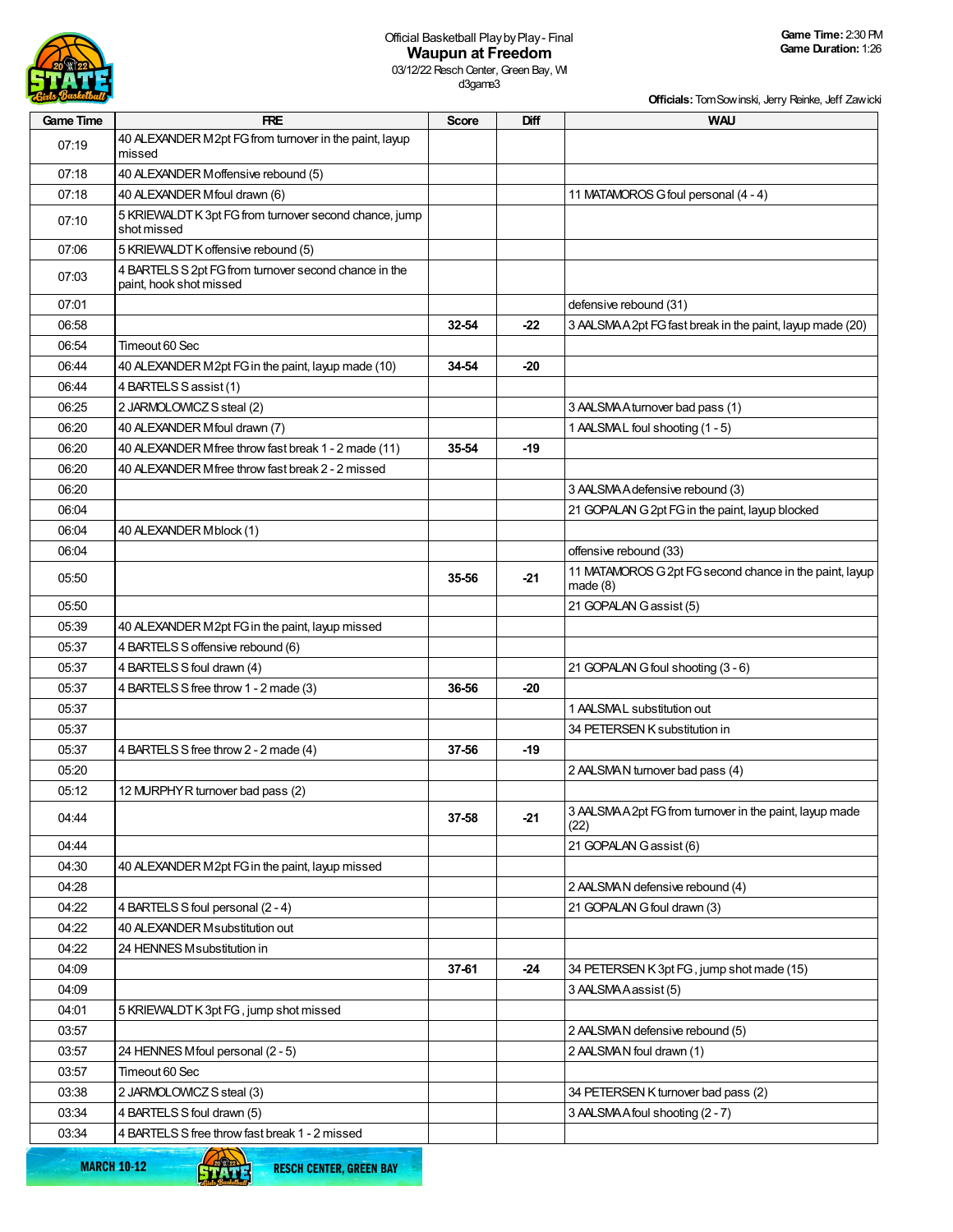

## Official Basketball PlaybyPlay- Final **Waupun at Freedom**

03/12/22 Resch Center, Green Bay, WI d3game3

| <b>Birls Basketball</b> |                                                                                  |              |       | Officials: Tom Sowinski, Jerry Reinke, Jeff Zawicki                |
|-------------------------|----------------------------------------------------------------------------------|--------------|-------|--------------------------------------------------------------------|
| <b>Game Time</b>        | <b>FRE</b>                                                                       | <b>Score</b> | Diff  | <b>WAU</b>                                                         |
| 07:19                   | 40 ALEXANDER M2pt FG from turnover in the paint, layup<br>missed                 |              |       |                                                                    |
| 07:18                   | 40 ALEXANDER Moffensive rebound (5)                                              |              |       |                                                                    |
| 07:18                   | 40 ALEXANDER Mfoul drawn (6)                                                     |              |       | 11 MATAMOROS G foul personal (4 - 4)                               |
| 07:10                   | 5 KRIEWALDT K 3pt FG from turnover second chance, jump<br>shot missed            |              |       |                                                                    |
| 07:06                   | 5 KRIEWALDT K offensive rebound (5)                                              |              |       |                                                                    |
| 07:03                   | 4 BARTELS S 2pt FG from turnover second chance in the<br>paint, hook shot missed |              |       |                                                                    |
| 07:01                   |                                                                                  |              |       | defensive rebound (31)                                             |
| 06:58                   |                                                                                  | 32-54        | $-22$ | 3 AALSMA A 2pt FG fast break in the paint, layup made (20)         |
| 06:54                   | Timeout 60 Sec                                                                   |              |       |                                                                    |
| 06:44                   | 40 ALEXANDER M2pt FG in the paint, layup made (10)                               | 34-54        | -20   |                                                                    |
| 06:44                   | 4 BARTELS S assist (1)                                                           |              |       |                                                                    |
| 06:25                   | 2 JARMOLOWICZ S steal (2)                                                        |              |       | 3 AALSMA A turnover bad pass (1)                                   |
| 06:20                   | 40 ALEXANDER Mfoul drawn (7)                                                     |              |       | 1 AALSMAL foul shooting (1 - 5)                                    |
| 06:20                   | 40 ALEXANDER Mfree throw fast break 1 - 2 made (11)                              | 35-54        | -19   |                                                                    |
| 06:20                   | 40 ALEXANDER Mfree throw fast break 2 - 2 missed                                 |              |       |                                                                    |
| 06:20                   |                                                                                  |              |       | 3 AALSMA A defensive rebound (3)                                   |
| 06:04                   |                                                                                  |              |       | 21 GOPALAN G 2pt FG in the paint, layup blocked                    |
| 06:04                   | 40 ALEXANDER Mblock (1)                                                          |              |       |                                                                    |
| 06:04                   |                                                                                  |              |       | offensive rebound (33)                                             |
| 05:50                   |                                                                                  | 35-56        | -21   | 11 MATAMOROS G 2pt FG second chance in the paint, layup<br>made(8) |
| 05:50                   |                                                                                  |              |       | 21 GOPALAN Gassist (5)                                             |
| 05:39                   | 40 ALEXANDER M2pt FG in the paint, layup missed                                  |              |       |                                                                    |
| 05:37                   | 4 BARTELS S offensive rebound (6)                                                |              |       |                                                                    |
| 05:37                   | 4 BARTELS S foul drawn (4)                                                       |              |       | 21 GOPALAN G foul shooting (3 - 6)                                 |
| 05:37                   | 4 BARTELS S free throw 1 - 2 made (3)                                            | 36-56        | -20   |                                                                    |
| 05:37                   |                                                                                  |              |       | 1 AALSMAL substitution out                                         |
| 05:37                   |                                                                                  |              |       | 34 PETERSEN K substitution in                                      |
| 05:37                   | 4 BARTELS S free throw 2 - 2 made (4)                                            | 37-56        | -19   |                                                                    |
| 05:20                   |                                                                                  |              |       | 2 AALSMAN turnover bad pass (4)                                    |
| 05:12                   | 12 MURPHY R turnover bad pass (2)                                                |              |       |                                                                    |
| 04:44                   |                                                                                  | 37-58        | $-21$ | 3 AALSMAA2pt FG from turnover in the paint, layup made<br>(22)     |
| 04:44                   |                                                                                  |              |       | 21 GOPALAN Gassist (6)                                             |
| 04:30                   | 40 ALEXANDER M2pt FG in the paint, layup missed                                  |              |       |                                                                    |
| 04:28                   |                                                                                  |              |       | 2 AALSMAN defensive rebound (4)                                    |
| 04:22                   | 4 BARTELS S foul personal (2 - 4)                                                |              |       | 21 GOPALAN G foul drawn (3)                                        |
| 04:22                   | 40 ALEXANDER Msubstitution out                                                   |              |       |                                                                    |
| 04:22                   | 24 HENNES Msubstitution in                                                       |              |       |                                                                    |
| 04:09                   |                                                                                  | 37-61        | -24   | 34 PETERSEN K 3pt FG, jump shot made (15)                          |
| 04:09                   |                                                                                  |              |       | 3 AALSMA Aassist (5)                                               |
| 04:01                   | 5 KRIEWALDT K 3pt FG, jump shot missed                                           |              |       |                                                                    |
| 03:57                   |                                                                                  |              |       | 2 AALSMAN defensive rebound (5)                                    |
| 03:57                   | 24 HENNES Mfoul personal (2 - 5)                                                 |              |       | 2 AALSMAN foul drawn (1)                                           |
| 03:57                   | Timeout 60 Sec                                                                   |              |       |                                                                    |
| 03:38                   | 2 JARMOLOWICZ S steal (3)                                                        |              |       | 34 PETERSEN K turnover bad pass (2)                                |
| 03:34                   | 4 BARTELS S foul drawn (5)                                                       |              |       | 3 AALSMA A foul shooting (2 - 7)                                   |
| 03:34                   | 4 BARTELS S free throw fast break 1 - 2 missed                                   |              |       |                                                                    |

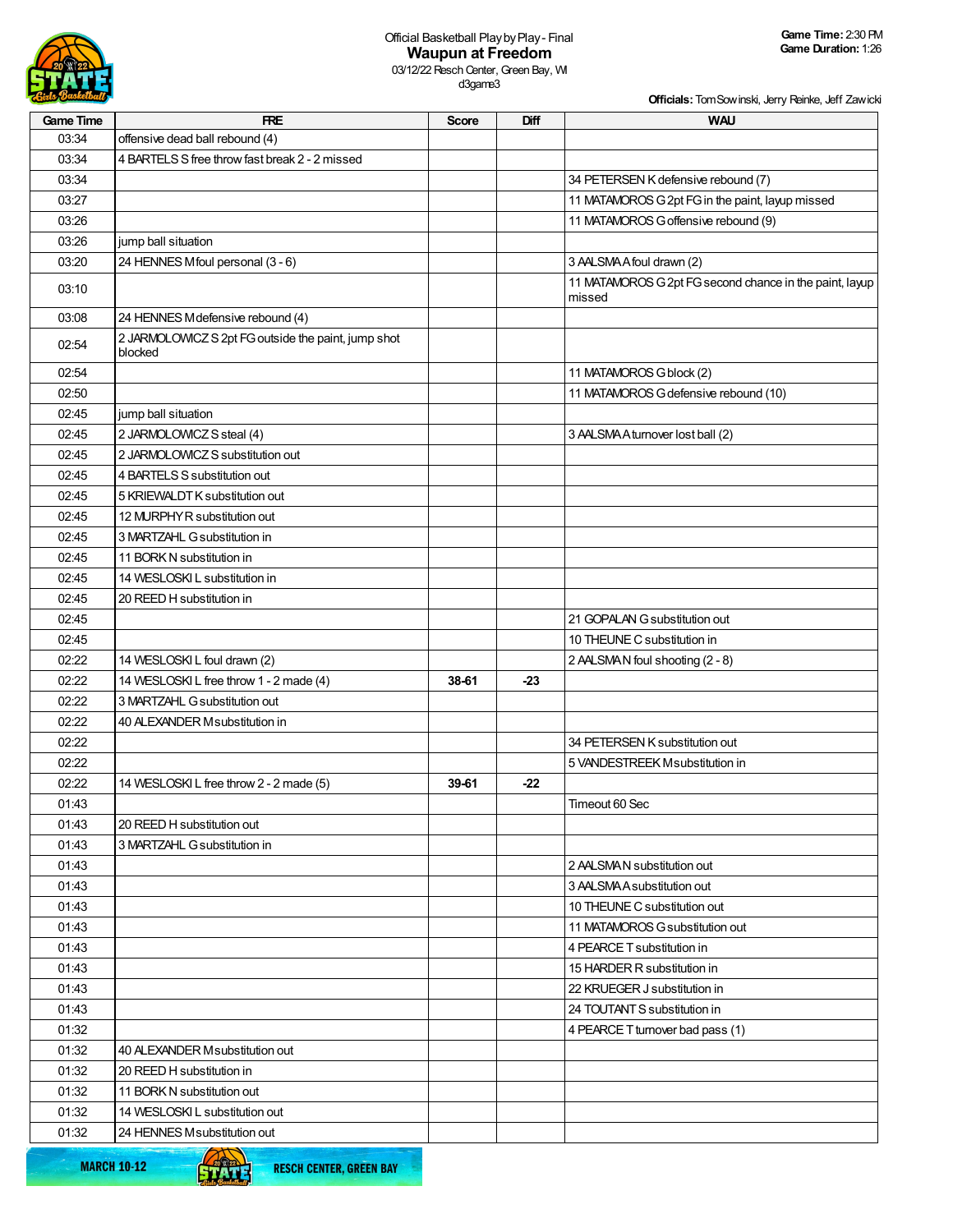

**Officials:**TomSowinski, Jerry Reinke, Jeff Zawicki

| <b>Game Time</b> | <b>FRE</b>                                                     | <b>Score</b> | Diff  | <b>WAU</b>                                                        |
|------------------|----------------------------------------------------------------|--------------|-------|-------------------------------------------------------------------|
| 03:34            | offensive dead ball rebound (4)                                |              |       |                                                                   |
| 03:34            | 4 BARTELS S free throw fast break 2 - 2 missed                 |              |       |                                                                   |
| 03:34            |                                                                |              |       | 34 PETERSEN K defensive rebound (7)                               |
| 03:27            |                                                                |              |       | 11 MATAMOROS G 2pt FG in the paint, layup missed                  |
| 03:26            |                                                                |              |       | 11 MATAMOROS G offensive rebound (9)                              |
| 03:26            | jump ball situation                                            |              |       |                                                                   |
| 03:20            | 24 HENNES Mfoul personal (3 - 6)                               |              |       | 3 AALSMA A foul drawn (2)                                         |
| 03:10            |                                                                |              |       | 11 MATAMOROS G 2pt FG second chance in the paint, layup<br>missed |
| 03:08            | 24 HENNES Mdefensive rebound (4)                               |              |       |                                                                   |
| 02:54            | 2 JARMOLOWICZ S 2pt FG outside the paint, jump shot<br>blocked |              |       |                                                                   |
| 02:54            |                                                                |              |       | 11 MATAMOROS G block (2)                                          |
| 02:50            |                                                                |              |       | 11 MATAMOROS G defensive rebound (10)                             |
| 02:45            | jump ball situation                                            |              |       |                                                                   |
| 02:45            | 2 JARMOLOWICZ S steal (4)                                      |              |       | 3 AALSMA A turnover lost ball (2)                                 |
| 02:45            | 2 JARMOLOWICZ S substitution out                               |              |       |                                                                   |
| 02:45            | 4 BARTELS S substitution out                                   |              |       |                                                                   |
| 02:45            | 5 KRIEWALDT K substitution out                                 |              |       |                                                                   |
| 02:45            | 12 MURPHY R substitution out                                   |              |       |                                                                   |
| 02:45            | 3 MARTZAHL G substitution in                                   |              |       |                                                                   |
| 02:45            | 11 BORK N substitution in                                      |              |       |                                                                   |
| 02:45            | 14 WESLOSKI L substitution in                                  |              |       |                                                                   |
| 02:45            | 20 REED H substitution in                                      |              |       |                                                                   |
| 02:45            |                                                                |              |       | 21 GOPALAN G substitution out                                     |
| 02:45            |                                                                |              |       | 10 THEUNE C substitution in                                       |
| 02:22            | 14 WESLOSKI L foul drawn (2)                                   |              |       | 2 AALSMAN foul shooting (2 - 8)                                   |
| 02:22            | 14 WESLOSKI L free throw 1 - 2 made (4)                        | 38-61        | $-23$ |                                                                   |
| 02:22            | 3 MARTZAHL G substitution out                                  |              |       |                                                                   |
| 02:22            | 40 ALEXANDER Msubstitution in                                  |              |       |                                                                   |
| 02:22            |                                                                |              |       | 34 PETERSEN K substitution out                                    |
| 02:22            |                                                                |              |       | 5 VANDESTREEK Msubstitution in                                    |
| 02:22            | 14 WESLOSKI L free throw 2 - 2 made (5)                        | 39-61        | $-22$ |                                                                   |
| 01:43            |                                                                |              |       | Timeout 60 Sec                                                    |
| 01:43            | 20 REED H substitution out                                     |              |       |                                                                   |
| 01:43            | 3 MARTZAHL G substitution in                                   |              |       |                                                                   |
| 01:43            |                                                                |              |       | 2 AALSMAN substitution out                                        |
| 01:43            |                                                                |              |       | 3 AALSMA A substitution out                                       |
| 01:43            |                                                                |              |       | 10 THEUNE C substitution out                                      |
| 01:43            |                                                                |              |       | 11 MATAMOROS G substitution out                                   |
| 01:43            |                                                                |              |       | 4 PEARCE T substitution in                                        |
| 01:43            |                                                                |              |       | 15 HARDER R substitution in                                       |
| 01:43            |                                                                |              |       | 22 KRUEGER J substitution in                                      |
| 01:43            |                                                                |              |       | 24 TOUTANT S substitution in                                      |
| 01:32            |                                                                |              |       | 4 PEARCE T turnover bad pass (1)                                  |
| 01:32            | 40 ALEXANDER Msubstitution out                                 |              |       |                                                                   |
| 01:32            | 20 REED H substitution in                                      |              |       |                                                                   |
| 01:32            | 11 BORK N substitution out                                     |              |       |                                                                   |
| 01:32            | 14 WESLOSKI L substitution out                                 |              |       |                                                                   |
| 01:32            | 24 HENNES Msubstitution out                                    |              |       |                                                                   |
|                  |                                                                |              |       |                                                                   |

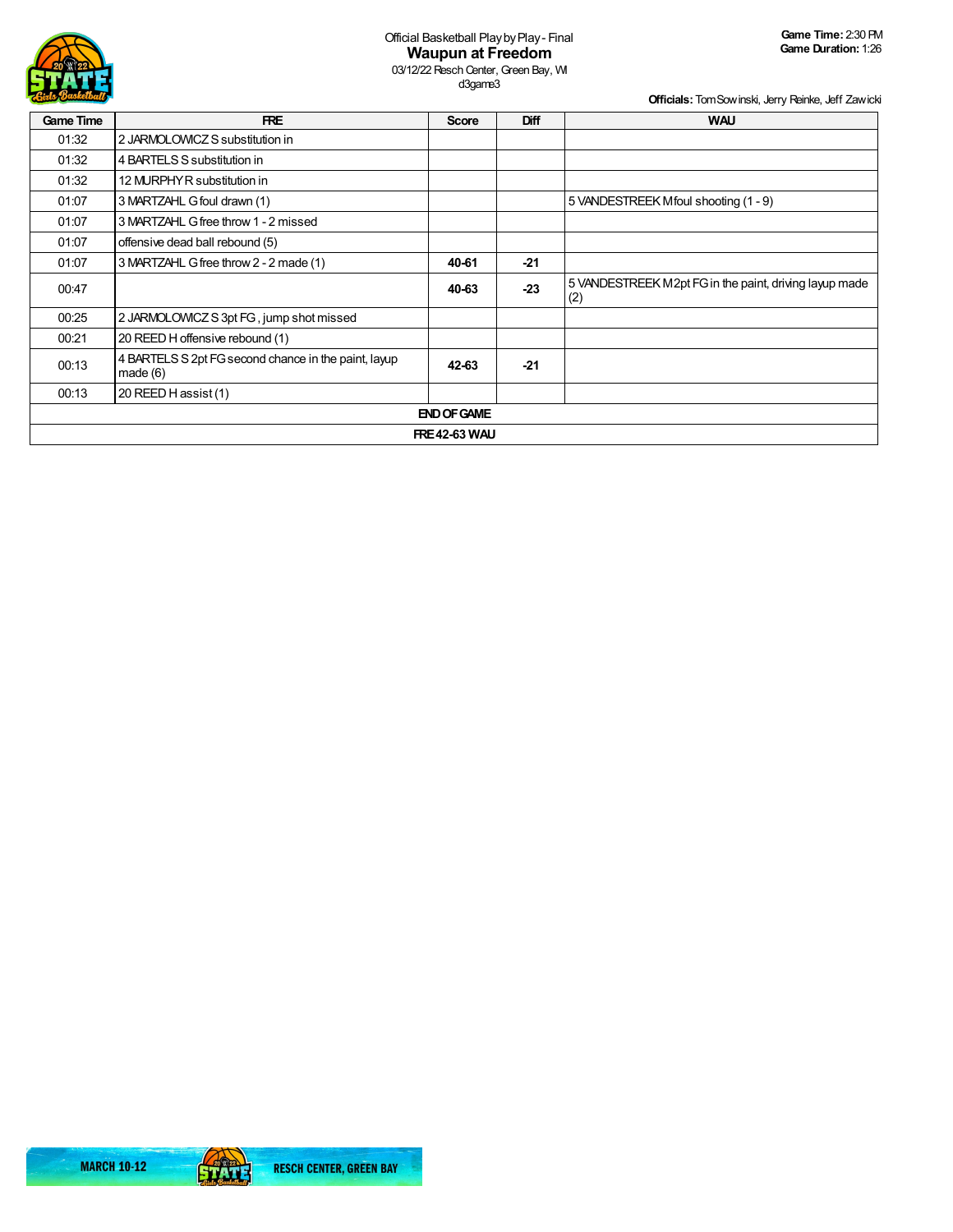

d3game3

**Officials:**TomSowinski, Jerry Reinke, Jeff Zawicki

| <b>Game Time</b>   | <b>FRE</b>                                                      | <b>Score</b> | Diff  | <b>WAU</b>                                                    |  |  |  |  |  |
|--------------------|-----------------------------------------------------------------|--------------|-------|---------------------------------------------------------------|--|--|--|--|--|
| 01:32              | 2 JARMOLOWICZ S substitution in                                 |              |       |                                                               |  |  |  |  |  |
| 01:32              | 4 BARTELS S substitution in                                     |              |       |                                                               |  |  |  |  |  |
| 01:32              | 12 MURPHY R substitution in                                     |              |       |                                                               |  |  |  |  |  |
| 01:07              | 3 MARTZAHL G foul drawn (1)                                     |              |       | 5 VANDESTREEK Mfoul shooting (1 - 9)                          |  |  |  |  |  |
| 01:07              | 3 MARTZAHL G free throw 1 - 2 missed                            |              |       |                                                               |  |  |  |  |  |
| 01:07              | offensive dead ball rebound (5)                                 |              |       |                                                               |  |  |  |  |  |
| 01:07              | 3 MARTZAHL G free throw 2 - 2 made (1)                          | 40-61        | $-21$ |                                                               |  |  |  |  |  |
| 00:47              |                                                                 | 40-63        | $-23$ | 5 VANDESTREEK M2pt FG in the paint, driving layup made<br>(2) |  |  |  |  |  |
| 00:25              | 2 JARMOLOWICZ S 3pt FG, jump shot missed                        |              |       |                                                               |  |  |  |  |  |
| 00:21              | 20 REED H offensive rebound (1)                                 |              |       |                                                               |  |  |  |  |  |
| 00:13              | 4 BARTELS S 2pt FG second chance in the paint, layup<br>made(6) | 42-63        | $-21$ |                                                               |  |  |  |  |  |
| 00:13              | 20 REED H assist (1)                                            |              |       |                                                               |  |  |  |  |  |
| <b>END OF GAME</b> |                                                                 |              |       |                                                               |  |  |  |  |  |
|                    | <b>FRE 42-63 WAU</b>                                            |              |       |                                                               |  |  |  |  |  |